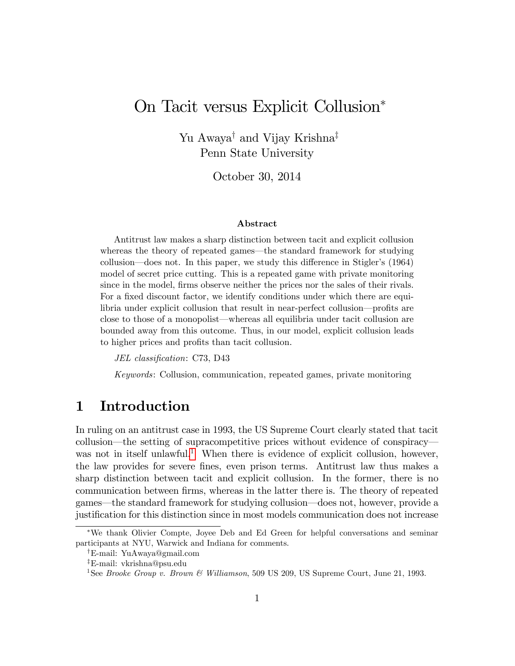# On Tacit versus Explicit Collusion

Yu Awaya<sup>†</sup> and Vijay Krishna<sup>‡</sup> Penn State University

October 30, 2014

#### Abstract

Antitrust law makes a sharp distinction between tacit and explicit collusion whereas the theory of repeated games—the standard framework for studying collusion—does not. In this paper, we study this difference in Stigler's  $(1964)$ model of secret price cutting. This is a repeated game with private monitoring since in the model, firms observe neither the prices nor the sales of their rivals. For a fixed discount factor, we identify conditions under which there are equilibria under explicit collusion that result in near-perfect collusion—profits are close to those of a monopolist—whereas all equilibria under tacit collusion are bounded away from this outcome. Thus, in our model, explicit collusion leads to higher prices and profits than tacit collusion.

JEL classification: C73, D43

Keywords: Collusion, communication, repeated games, private monitoring

# 1 Introduction

In ruling on an antitrust case in 1993, the US Supreme Court clearly stated that tacit collusion—the setting of supracompetitive prices without evidence of conspiracy-was not in itself unlawful.<sup>[1](#page-0-0)</sup> When there is evidence of explicit collusion, however, the law provides for severe fines, even prison terms. Antitrust law thus makes a sharp distinction between tacit and explicit collusion. In the former, there is no communication between Örms, whereas in the latter there is. The theory of repeated games—the standard framework for studying collusion—does not, however, provide a justification for this distinction since in most models communication does not increase

We thank Olivier Compte, Joyee Deb and Ed Green for helpful conversations and seminar participants at NYU, Warwick and Indiana for comments.

<sup>&</sup>lt;sup>†</sup>E-mail: YuAwaya@gmail.com

<sup>z</sup>E-mail: vkrishna@psu.edu

<span id="page-0-0"></span><sup>&</sup>lt;sup>1</sup>See Brooke Group v. Brown & Williamson, 509 US 209, US Supreme Court, June 21, 1993.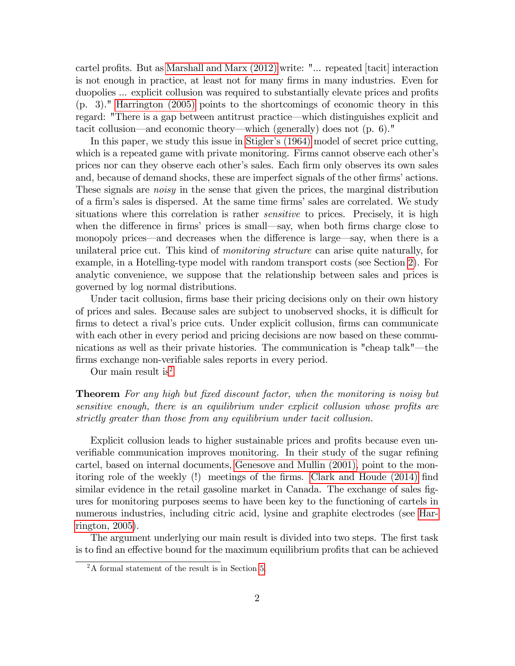cartel profits. But as Marshall and Marx  $(2012)$  write: "... repeated [tacit] interaction is not enough in practice, at least not for many Örms in many industries. Even for duopolies ... explicit collusion was required to substantially elevate prices and profits (p. 3)." [Harrington \(2005\)](#page-28-1) points to the shortcomings of economic theory in this regard: "There is a gap between antitrust practice—which distinguishes explicit and tacit collusion—and economic theory—which (generally) does not  $(p. 6)$ ."

In this paper, we study this issue in Stigler's (1964) model of secret price cutting, which is a repeated game with private monitoring. Firms cannot observe each other's prices nor can they observe each other's sales. Each firm only observes its own sales and, because of demand shocks, these are imperfect signals of the other firms' actions. These signals are *noisy* in the sense that given the prices, the marginal distribution of a firm's sales is dispersed. At the same time firms' sales are correlated. We study situations where this correlation is rather *sensitive* to prices. Precisely, it is high when the difference in firms' prices is small—say, when both firms charge close to monopoly prices—and decreases when the difference is large—say, when there is a unilateral price cut. This kind of monitoring structure can arise quite naturally, for example, in a Hotelling-type model with random transport costs (see Section [2\)](#page-5-0). For analytic convenience, we suppose that the relationship between sales and prices is governed by log normal distributions.

Under tacit collusion, firms base their pricing decisions only on their own history of prices and sales. Because sales are subject to unobserved shocks, it is difficult for firms to detect a rival's price cuts. Under explicit collusion, firms can communicate with each other in every period and pricing decisions are now based on these communications as well as their private histories. The communication is "cheap talk"—the firms exchange non-verifiable sales reports in every period.

Our main result is<sup>[2](#page-1-0)</sup>

**Theorem** For any high but fixed discount factor, when the monitoring is noisy but sensitive enough, there is an equilibrium under explicit collusion whose profits are strictly greater than those from any equilibrium under tacit collusion.

Explicit collusion leads to higher sustainable prices and profits because even unverifiable communication improves monitoring. In their study of the sugar refining cartel, based on internal documents, [Genesove and Mullin \(2001\),](#page-28-2) point to the mon-itoring role of the weekly (!) meetings of the firms. [Clark and Houde \(2014\)](#page-27-0) find similar evidence in the retail gasoline market in Canada. The exchange of sales figures for monitoring purposes seems to have been key to the functioning of cartels in numerous industries, including citric acid, lysine and graphite electrodes (see [Har](#page-28-1)[rington, 2005\)](#page-28-1).

The argument underlying our main result is divided into two steps. The first task is to find an effective bound for the maximum equilibrium profits that can be achieved

<span id="page-1-0"></span><sup>2</sup>A formal statement of the result is in Section [5.](#page-16-0)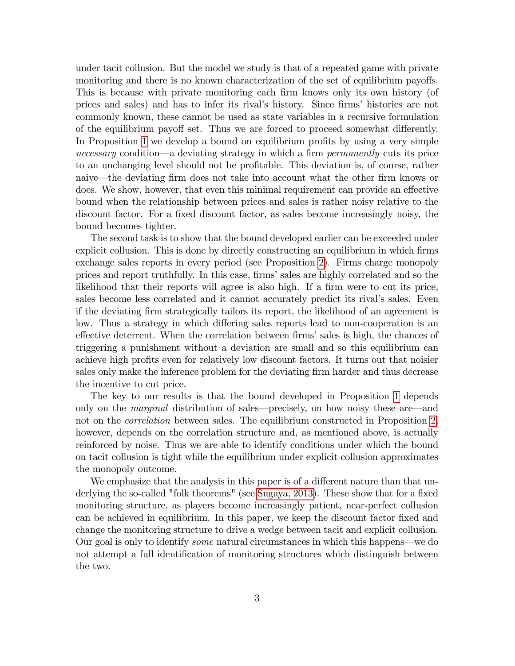under tacit collusion. But the model we study is that of a repeated game with private monitoring and there is no known characterization of the set of equilibrium payoffs. This is because with private monitoring each firm knows only its own history (of prices and sales) and has to infer its rival's history. Since firms' histories are not commonly known, these cannot be used as state variables in a recursive formulation of the equilibrium payoff set. Thus we are forced to proceed somewhat differently. In Proposition [1](#page-9-0) we develop a bound on equilibrium profits by using a very simple necessary condition—a deviating strategy in which a firm *permanently* cuts its price to an unchanging level should not be profitable. This deviation is, of course, rather naive—the deviating firm does not take into account what the other firm knows or does. We show, however, that even this minimal requirement can provide an effective bound when the relationship between prices and sales is rather noisy relative to the discount factor. For a fixed discount factor, as sales become increasingly noisy, the bound becomes tighter.

The second task is to show that the bound developed earlier can be exceeded under explicit collusion. This is done by directly constructing an equilibrium in which firms exchange sales reports in every period (see Proposition [2\)](#page-15-0). Firms charge monopoly prices and report truthfully. In this case, firms' sales are highly correlated and so the likelihood that their reports will agree is also high. If a firm were to cut its price, sales become less correlated and it cannot accurately predict its rival's sales. Even if the deviating Örm strategically tailors its report, the likelihood of an agreement is low. Thus a strategy in which differing sales reports lead to non-cooperation is an effective deterrent. When the correlation between firms' sales is high, the chances of triggering a punishment without a deviation are small and so this equilibrium can achieve high profits even for relatively low discount factors. It turns out that noisier sales only make the inference problem for the deviating firm harder and thus decrease the incentive to cut price.

The key to our results is that the bound developed in Proposition [1](#page-9-0) depends only on the *marginal* distribution of sales—precisely, on how noisy these are—and not on the *correlation* between sales. The equilibrium constructed in Proposition [2,](#page-15-0) however, depends on the correlation structure and, as mentioned above, is actually reinforced by noise. Thus we are able to identify conditions under which the bound on tacit collusion is tight while the equilibrium under explicit collusion approximates the monopoly outcome.

We emphasize that the analysis in this paper is of a different nature than that un-derlying the so-called "folk theorems" (see [Sugaya, 2013\)](#page-29-1). These show that for a fixed monitoring structure, as players become increasingly patient, near-perfect collusion can be achieved in equilibrium. In this paper, we keep the discount factor fixed and change the monitoring structure to drive a wedge between tacit and explicit collusion. Our goal is only to identify *some* natural circumstances in which this happens—we do not attempt a full identification of monitoring structures which distinguish between the two.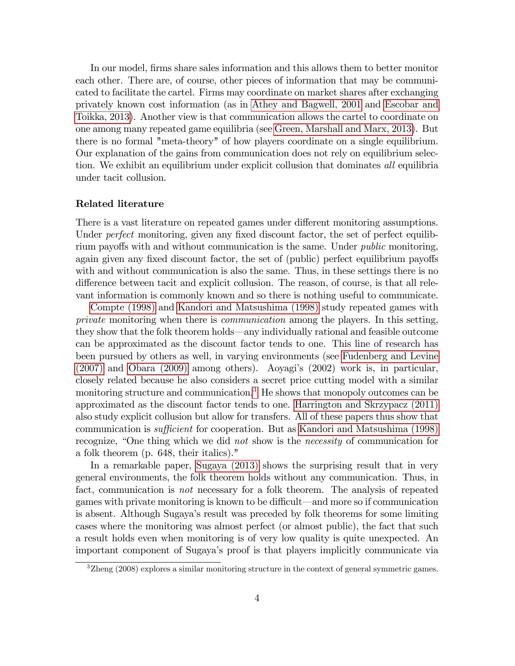In our model, firms share sales information and this allows them to better monitor each other. There are, of course, other pieces of information that may be communicated to facilitate the cartel. Firms may coordinate on market shares after exchanging privately known cost information (as in [Athey and Bagwell, 2001](#page-27-1) and [Escobar and](#page-28-3) [Toikka, 2013\)](#page-28-3). Another view is that communication allows the cartel to coordinate on one among many repeated game equilibria (see [Green, Marshall and Marx, 2013\)](#page-28-4). But there is no formal "meta-theory" of how players coordinate on a single equilibrium. Our explanation of the gains from communication does not rely on equilibrium selection. We exhibit an equilibrium under explicit collusion that dominates all equilibria under tacit collusion.

#### Related literature

There is a vast literature on repeated games under different monitoring assumptions. Under *perfect* monitoring, given any fixed discount factor, the set of perfect equilibrium payoffs with and without communication is the same. Under *public* monitoring, again given any fixed discount factor, the set of (public) perfect equilibrium payoffs with and without communication is also the same. Thus, in these settings there is no difference between tacit and explicit collusion. The reason, of course, is that all relevant information is commonly known and so there is nothing useful to communicate.

[Compte \(1998\)](#page-27-2) and [Kandori and Matsushima \(1998\)](#page-28-5) study repeated games with private monitoring when there is communication among the players. In this setting, they show that the folk theorem holds—any individually rational and feasible outcome can be approximated as the discount factor tends to one. This line of research has been pursued by others as well, in varying environments (see [Fudenberg and Levine](#page-28-6) [\(2007\)](#page-28-6) and [Obara \(2009\)](#page-28-7) among others). Aoyagiís (2002) work is, in particular, closely related because he also considers a secret price cutting model with a similar monitoring structure and communication.<sup>[3](#page-3-0)</sup> He shows that monopoly outcomes can be approximated as the discount factor tends to one. [Harrington and Skrzypacz \(2011\)](#page-28-8) also study explicit collusion but allow for transfers. All of these papers thus show that communication is *sufficient* for cooperation. But as [Kandori and Matsushima \(1998\)](#page-28-5) recognize, "One thing which we did not show is the necessity of communication for a folk theorem (p. 648, their italics)."

In a remarkable paper, [Sugaya \(2013\)](#page-29-1) shows the surprising result that in very general environments, the folk theorem holds without any communication. Thus, in fact, communication is not necessary for a folk theorem. The analysis of repeated games with private monitoring is known to be difficult—and more so if communication is absent. Although Sugayaís result was preceded by folk theorems for some limiting cases where the monitoring was almost perfect (or almost public), the fact that such a result holds even when monitoring is of very low quality is quite unexpected. An important component of Sugayaís proof is that players implicitly communicate via

<span id="page-3-0"></span><sup>3</sup>Zheng (2008) explores a similar monitoring structure in the context of general symmetric games.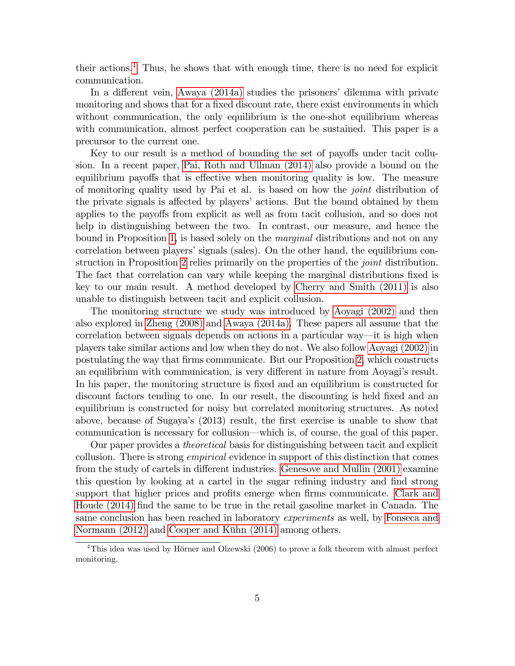their actions.<sup>[4](#page-4-0)</sup> Thus, he shows that with enough time, there is no need for explicit communication.

In a different vein, Awaya  $(2014a)$  studies the prisoners' dilemma with private monitoring and shows that for a fixed discount rate, there exist environments in which without communication, the only equilibrium is the one-shot equilibrium whereas with communication, almost perfect cooperation can be sustained. This paper is a precursor to the current one.

Key to our result is a method of bounding the set of payoffs under tacit collusion. In a recent paper, [Pai, Roth and Ullman \(2014\)](#page-29-2) also provide a bound on the equilibrium payoffs that is effective when monitoring quality is low. The measure of monitoring quality used by Pai et al. is based on how the joint distribution of the private signals is affected by players' actions. But the bound obtained by them applies to the payoffs from explicit as well as from tacit collusion, and so does not help in distinguishing between the two. In contrast, our measure, and hence the bound in Proposition [1,](#page-9-0) is based solely on the *marginal* distributions and not on any correlation between players' signals (sales). On the other hand, the equilibrium con-struction in Proposition [2](#page-15-0) relies primarily on the properties of the *joint* distribution. The fact that correlation can vary while keeping the marginal distributions fixed is key to our main result. A method developed by [Cherry and Smith \(2011\)](#page-27-4) is also unable to distinguish between tacit and explicit collusion.

The monitoring structure we study was introduced by [Aoyagi \(2002\)](#page-27-5) and then also explored in [Zheng \(2008\)](#page-29-3) and [Awaya \(2014a\).](#page-27-3) These papers all assume that the correlation between signals depends on actions in a particular way—it is high when players take similar actions and low when they do not. We also follow [Aoyagi \(2002\)](#page-27-5) in postulating the way that Örms communicate. But our Proposition [2,](#page-15-0) which constructs an equilibrium with communication, is very different in nature from Aoyagi's result. In his paper, the monitoring structure is fixed and an equilibrium is constructed for discount factors tending to one. In our result, the discounting is held fixed and an equilibrium is constructed for noisy but correlated monitoring structures. As noted above, because of Sugaya's (2013) result, the first exercise is unable to show that communication is necessary for collusion—which is, of course, the goal of this paper.

Our paper provides a theoretical basis for distinguishing between tacit and explicit collusion. There is strong *empirical* evidence in support of this distinction that comes from the study of cartels in different industries. [Genesove and Mullin \(2001\)](#page-28-2) examine this question by looking at a cartel in the sugar refining industry and find strong support that higher prices and profits emerge when firms communicate. [Clark and](#page-27-0) [Houde \(2014\)](#page-27-0) find the same to be true in the retail gasoline market in Canada. The same conclusion has been reached in laboratory *experiments* as well, by [Fonseca and](#page-28-9) [Normann \(2012\)](#page-28-9) and Cooper and Kühn (2014) among others.

<span id="page-4-0"></span> $4$ This idea was used by Hörner and Olzewski (2006) to prove a folk theorem with almost perfect monitoring.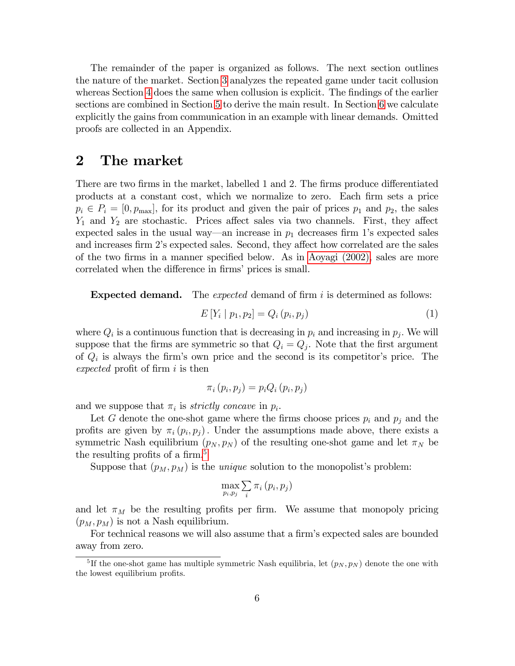The remainder of the paper is organized as follows. The next section outlines the nature of the market. Section [3](#page-7-0) analyzes the repeated game under tacit collusion whereas Section [4](#page-12-0) does the same when collusion is explicit. The findings of the earlier sections are combined in Section [5](#page-16-0) to derive the main result. In Section [6](#page-17-0) we calculate explicitly the gains from communication in an example with linear demands. Omitted proofs are collected in an Appendix.

### <span id="page-5-0"></span>2 The market

There are two firms in the market, labelled 1 and 2. The firms produce differentiated products at a constant cost, which we normalize to zero. Each Örm sets a price  $p_i \in P_i = [0, p_{\text{max}}]$ , for its product and given the pair of prices  $p_1$  and  $p_2$ , the sales  $Y_1$  and  $Y_2$  are stochastic. Prices affect sales via two channels. First, they affect expected sales in the usual way—an increase in  $p_1$  decreases firm 1's expected sales and increases firm 2's expected sales. Second, they affect how correlated are the sales of the two Örms in a manner speciÖed below. As in [Aoyagi \(2002\),](#page-27-5) sales are more correlated when the difference in firms' prices is small.

**Expected demand.** The *expected* demand of firm  $i$  is determined as follows:

<span id="page-5-2"></span>
$$
E[Y_i | p_1, p_2] = Q_i(p_i, p_j)
$$
\n(1)

where  $Q_i$  is a continuous function that is decreasing in  $p_i$  and increasing in  $p_j$ . We will suppose that the firms are symmetric so that  $Q_i = Q_j$ . Note that the first argument of  $Q_i$  is always the firm's own price and the second is its competitor's price. The expected profit of firm  $i$  is then

$$
\pi_i(p_i, p_j) = p_i Q_i(p_i, p_j)
$$

and we suppose that  $\pi_i$  is *strictly concave* in  $p_i$ .

Let G denote the one-shot game where the firms choose prices  $p_i$  and  $p_j$  and the profits are given by  $\pi_i(p_i, p_j)$ . Under the assumptions made above, there exists a symmetric Nash equilibrium  $(p_N, p_N)$  of the resulting one-shot game and let  $\pi_N$  be the resulting profits of a firm.<sup>[5](#page-5-1)</sup>

Suppose that  $(p_M, p_M)$  is the *unique* solution to the monopolist's problem:

$$
\max_{p_i, p_j} \sum_i \pi_i (p_i, p_j)
$$

and let  $\pi_M$  be the resulting profits per firm. We assume that monopoly pricing  $(p_M, p_M)$  is not a Nash equilibrium.

For technical reasons we will also assume that a firm's expected sales are bounded away from zero.

<span id="page-5-1"></span><sup>&</sup>lt;sup>5</sup>If the one-shot game has multiple symmetric Nash equilibria, let  $(p_N, p_N)$  denote the one with the lowest equilibrium profits.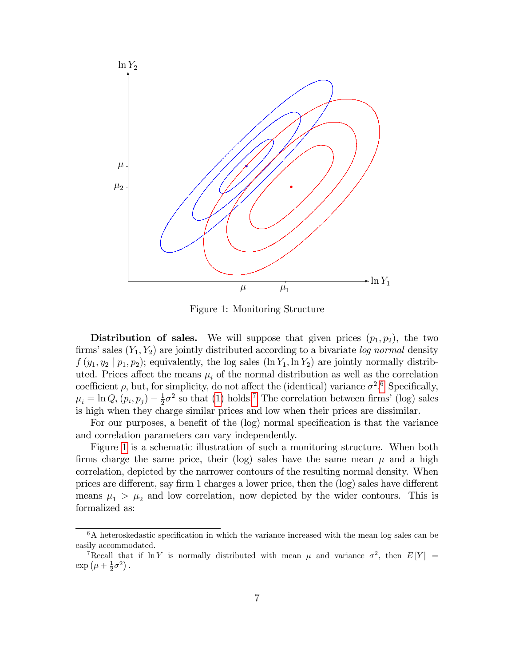

<span id="page-6-2"></span>Figure 1: Monitoring Structure

**Distribution of sales.** We will suppose that given prices  $(p_1, p_2)$ , the two firms' sales  $(Y_1, Y_2)$  are jointly distributed according to a bivariate log normal density  $f(y_1, y_2 | p_1, p_2)$ ; equivalently, the log sales  $(\ln Y_1, \ln Y_2)$  are jointly normally distributed. Prices affect the means  $\mu_i$  of the normal distribution as well as the correlation coefficient  $\rho$ , but, for simplicity, do not affect the (identical) variance  $\sigma^2$ .<sup>[6](#page-6-0)</sup> Specifically,  $\mu_i = \ln Q_i(p_i, p_j) - \frac{1}{2}$  $\frac{1}{2}\sigma^2$  so that [\(1\)](#page-5-2) holds.<sup>[7](#page-6-1)</sup> The correlation between firms' (log) sales is high when they charge similar prices and low when their prices are dissimilar.

For our purposes, a benefit of the (log) normal specification is that the variance and correlation parameters can vary independently.

Figure [1](#page-6-2) is a schematic illustration of such a monitoring structure. When both firms charge the same price, their (log) sales have the same mean  $\mu$  and a high correlation, depicted by the narrower contours of the resulting normal density. When prices are different, say firm 1 charges a lower price, then the (log) sales have different means  $\mu_1 > \mu_2$  and low correlation, now depicted by the wider contours. This is formalized as:

<span id="page-6-3"></span><span id="page-6-0"></span> $6A$  heteroskedastic specification in which the variance increased with the mean log sales can be easily accommodated.

<span id="page-6-1"></span><sup>&</sup>lt;sup>7</sup>Recall that if  $\ln Y$  is normally distributed with mean  $\mu$  and variance  $\sigma^2$ , then  $E[Y] =$  $\exp\left(\mu+\frac{1}{2}\sigma^2\right).$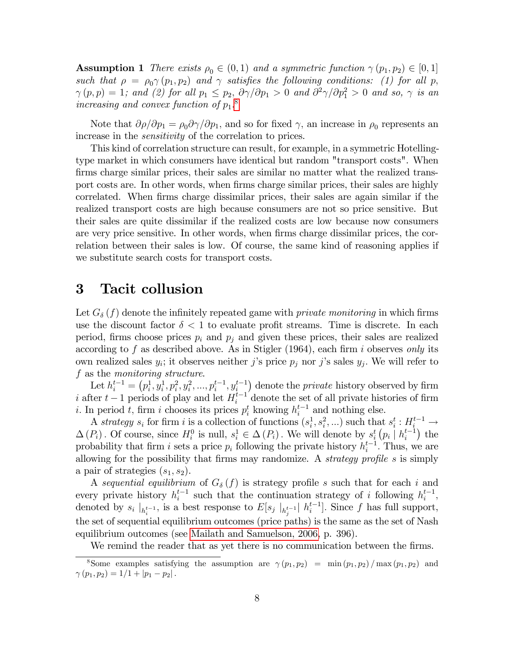**Assumption 1** There exists  $\rho_0 \in (0,1)$  and a symmetric function  $\gamma(p_1, p_2) \in [0,1]$ such that  $\rho = \rho_0 \gamma(p_1, p_2)$  and  $\gamma$  satisfies the following conditions: (1) for all p,  $\gamma(p, p) = 1$ ; and (2) for all  $p_1 \leq p_2$ ,  $\partial \gamma / \partial p_1 > 0$  and  $\partial^2 \gamma / \partial p_1^2 > 0$  and so,  $\gamma$  is an increasing and convex function of  $p_1$ <sup>[8](#page-7-1)</sup>.

Note that  $\partial \rho / \partial p_1 = \rho_0 \partial \gamma / \partial p_1$ , and so for fixed  $\gamma$ , an increase in  $\rho_0$  represents an increase in the *sensitivity* of the correlation to prices.

This kind of correlation structure can result, for example, in a symmetric Hotellingtype market in which consumers have identical but random "transport costs". When firms charge similar prices, their sales are similar no matter what the realized transport costs are. In other words, when firms charge similar prices, their sales are highly correlated. When firms charge dissimilar prices, their sales are again similar if the realized transport costs are high because consumers are not so price sensitive. But their sales are quite dissimilar if the realized costs are low because now consumers are very price sensitive. In other words, when firms charge dissimilar prices, the correlation between their sales is low. Of course, the same kind of reasoning applies if we substitute search costs for transport costs.

# <span id="page-7-0"></span>3 Tacit collusion

Let  $G_{\delta}(f)$  denote the infinitely repeated game with *private monitoring* in which firms use the discount factor  $\delta < 1$  to evaluate profit streams. Time is discrete. In each period, firms choose prices  $p_i$  and  $p_j$  and given these prices, their sales are realized according to f as described above. As in Stigler  $(1964)$ , each firm i observes only its own realized sales  $y_i$ ; it observes neither j's price  $p_j$  nor j's sales  $y_j$ . We will refer to f as the monitoring structure.

Let  $h_i^{t-1} = (p_i^1, y_i^1, p_i^2, y_i^2, ..., p_i^{t-1}, y_i^{t-1})$  denote the *private* history observed by firm i after  $t-1$  periods of play and let  $H_i^{t-1}$  denote the set of all private histories of firm *i*. In period *t*, firm *i* chooses its prices  $p_i^t$  knowing  $h_i^{t-1}$  and nothing else.

A strategy  $s_i$  for firm i is a collection of functions  $(s_i^1, s_i^2, ...)$  such that  $s_i^t : H_i^{t-1} \to$  $\Delta(P_i)$ . Of course, since  $H_i^0$  is null,  $s_i^1 \in \Delta(P_i)$ . We will denote by  $s_i^t(p_i \mid h_i^{t-1})$  the probability that firm i sets a price  $p_i$  following the private history  $h_i^{t-1}$ . Thus, we are allowing for the possibility that firms may randomize. A *strategy profile s* is simply a pair of strategies  $(s_1, s_2)$ .

A sequential equilibrium of  $G_{\delta}(f)$  is strategy profile s such that for each i and every private history  $h_i^{t-1}$  such that the continuation strategy of i following  $h_i^{t-1}$ , denoted by  $s_i \mid_{h_i^{t-1}}$ , is a best response to  $E[s_j \mid_{h_j^{t-1}}]$   $h_i^{t-1}]$ . Since f has full support, the set of sequential equilibrium outcomes (price paths) is the same as the set of Nash equilibrium outcomes (see [Mailath and Samuelson, 2006,](#page-28-10) p. 396).

<span id="page-7-1"></span>We remind the reader that as yet there is no communication between the firms.

<sup>&</sup>lt;sup>8</sup>Some examples satisfying the assumption are  $\gamma(p_1, p_2) = \min(p_1, p_2) / \max(p_1, p_2)$  and  $\gamma(p_1, p_2) = 1/1 + |p_1 - p_2|$ .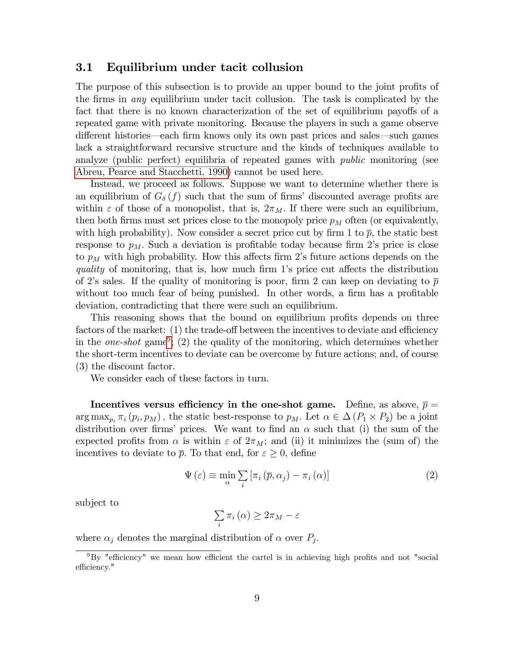#### 3.1 Equilibrium under tacit collusion

The purpose of this subsection is to provide an upper bound to the joint profits of the firms in *any* equilibrium under tacit collusion. The task is complicated by the fact that there is no known characterization of the set of equilibrium payoffs of a repeated game with private monitoring. Because the players in such a game observe different histories—each firm knows only its own past prices and sales—such games lack a straightforward recursive structure and the kinds of techniques available to analyze (public perfect) equilibria of repeated games with public monitoring (see [Abreu, Pearce and Stacchetti, 1990\)](#page-27-7) cannot be used here.

Instead, we proceed as follows. Suppose we want to determine whether there is an equilibrium of  $G_{\delta}(f)$  such that the sum of firms' discounted average profits are within  $\varepsilon$  of those of a monopolist, that is,  $2\pi_M$ . If there were such an equilibrium, then both firms must set prices close to the monopoly price  $p<sub>M</sub>$  often (or equivalently, with high probability). Now consider a secret price cut by firm 1 to  $\bar{p}$ , the static best response to  $p_M$ . Such a deviation is profitable today because firm 2's price is close to  $p_M$  with high probability. How this affects firm 2's future actions depends on the quality of monitoring, that is, how much firm 1's price cut affects the distribution of 2's sales. If the quality of monitoring is poor, firm 2 can keep on deviating to  $\bar{p}$ without too much fear of being punished. In other words, a firm has a profitable deviation, contradicting that there were such an equilibrium.

This reasoning shows that the bound on equilibrium profits depends on three factors of the market:  $(1)$  the trade-off between the incentives to deviate and efficiency in the *one-shot* game<sup>[9](#page-8-0)</sup>; (2) the quality of the monitoring, which determines whether the short-term incentives to deviate can be overcome by future actions; and, of course (3) the discount factor.

We consider each of these factors in turn.

Incentives versus efficiency in the one-shot game. Define, as above,  $\bar{p} =$  $\arg \max_{p_i} \pi_i(p_i, p_M)$ , the static best-response to  $p_M$ . Let  $\alpha \in \Delta(P_1 \times P_2)$  be a joint distribution over firms' prices. We want to find an  $\alpha$  such that (i) the sum of the expected profits from  $\alpha$  is within  $\varepsilon$  of  $2\pi_M$ ; and (ii) it minimizes the (sum of) the incentives to deviate to  $\bar{p}$ . To that end, for  $\varepsilon \geq 0$ , define

<span id="page-8-1"></span>
$$
\Psi\left(\varepsilon\right) \equiv \min_{\alpha} \sum_{i} \left[\pi_i\left(\overline{p}, \alpha_j\right) - \pi_i\left(\alpha\right)\right] \tag{2}
$$

subject to

$$
\sum_{i} \pi_{i}(\alpha) \geq 2\pi_{M} - \varepsilon
$$

where  $\alpha_j$  denotes the marginal distribution of  $\alpha$  over  $P_j$ .

<span id="page-8-0"></span> $9By$  "efficiency" we mean how efficient the cartel is in achieving high profits and not "social efficiency."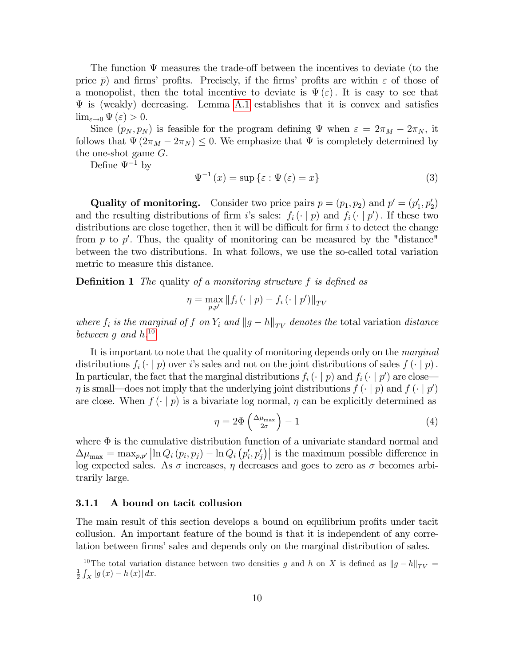The function  $\Psi$  measures the trade-off between the incentives to deviate (to the price  $\bar{p}$ ) and firms' profits. Precisely, if the firms' profits are within  $\varepsilon$  of those of a monopolist, then the total incentive to deviate is  $\Psi(\varepsilon)$ . It is easy to see that  $\Psi$  is (weakly) decreasing. Lemma [A.1](#page-19-0) establishes that it is convex and satisfies  $\lim_{\varepsilon \to 0} \Psi(\varepsilon) > 0.$ 

Since  $(p_N, p_N)$  is feasible for the program defining  $\Psi$  when  $\varepsilon = 2\pi_M - 2\pi_N$ , it follows that  $\Psi(2\pi_M - 2\pi_N) \leq 0$ . We emphasize that  $\Psi$  is completely determined by the one-shot game G.

Define  $\Psi^{-1}$  by

$$
\Psi^{-1}(x) = \sup \{\varepsilon : \Psi(\varepsilon) = x\}
$$
\n(3)

**Quality of monitoring.** Consider two price pairs  $p = (p_1, p_2)$  and  $p' = (p'_1, p'_2)$ and the resulting distributions of firm i's sales:  $f_i(\cdot | p)$  and  $f_i(\cdot | p')$ . If these two distributions are close together, then it will be difficult for firm  $i$  to detect the change from  $p$  to  $p'$ . Thus, the quality of monitoring can be measured by the "distance" between the two distributions. In what follows, we use the so-called total variation metric to measure this distance.

<span id="page-9-3"></span>**Definition 1** The quality of a monitoring structure f is defined as

$$
\eta = \max_{p, p'} \|f_i(\cdot \mid p) - f_i(\cdot \mid p')\|_{TV}
$$

where  $f_i$  is the marginal of f on  $Y_i$  and  $||g-h||_{TV}$  denotes the total variation distance between g and  $h^{10}$  $h^{10}$  $h^{10}$ 

It is important to note that the quality of monitoring depends only on the marginal distributions  $f_i(\cdot | p)$  over i's sales and not on the joint distributions of sales  $f(\cdot | p)$ . In particular, the fact that the marginal distributions  $f_i(\cdot | p)$  and  $f_i(\cdot | p')$  are close- $\eta$  is small—does not imply that the underlying joint distributions  $f(\cdot | p)$  and  $f(\cdot | p')$ are close. When  $f(\cdot | p)$  is a bivariate log normal,  $\eta$  can be explicitly determined as

<span id="page-9-2"></span>
$$
\eta = 2\Phi\left(\frac{\Delta\mu_{\text{max}}}{2\sigma}\right) - 1\tag{4}
$$

where  $\Phi$  is the cumulative distribution function of a univariate standard normal and  $\Delta\mu_{\text{max}} = \max_{p,p'} \left| \ln Q_i(p_i, p_j) - \ln Q_i(p'_i, p'_j) \right|$  is the maximum possible difference in log expected sales. As  $\sigma$  increases,  $\eta$  decreases and goes to zero as  $\sigma$  becomes arbitrarily large.

#### 3.1.1 A bound on tacit collusion

The main result of this section develops a bound on equilibrium profits under tacit collusion. An important feature of the bound is that it is independent of any correlation between firms' sales and depends only on the marginal distribution of sales.

<span id="page-9-1"></span><span id="page-9-0"></span><sup>&</sup>lt;sup>10</sup>The total variation distance between two densities g and h on X is defined as  $||g-h||_{TV}$  =  $\frac{1}{2} \int_X |g(x) - h(x)| dx.$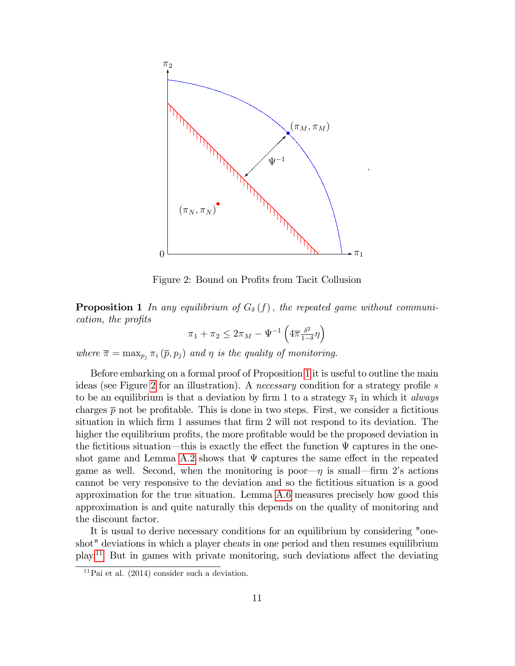

<span id="page-10-0"></span>Figure 2: Bound on Profits from Tacit Collusion

**Proposition 1** In any equilibrium of  $G_{\delta}(f)$ , the repeated game without communication, the profits

$$
\pi_1 + \pi_2 \le 2\pi_M - \Psi^{-1}\left(4\overline{\pi} \frac{\delta^2}{1-\delta} \eta\right)
$$

where  $\bar{\pi} = \max_{p_i} \pi_i (\bar{p}, p_j)$  and  $\eta$  is the quality of monitoring.

Before embarking on a formal proof of Proposition [1](#page-9-0) it is useful to outline the main ideas (see Figure [2](#page-10-0) for an illustration). A *necessary* condition for a strategy profile s to be an equilibrium is that a deviation by firm 1 to a strategy  $\overline{s}_1$  in which it *always* charges  $\bar{p}$  not be profitable. This is done in two steps. First, we consider a fictitious situation in which firm 1 assumes that firm 2 will not respond to its deviation. The higher the equilibrium profits, the more profitable would be the proposed deviation in the fictitious situation—this is exactly the effect the function  $\Psi$  captures in the one-shot game and Lemma [A.2](#page-20-0) shows that  $\Psi$  captures the same effect in the repeated game as well. Second, when the monitoring is poor $-\eta$  is small—firm 2's actions cannot be very responsive to the deviation and so the Öctitious situation is a good approximation for the true situation. Lemma [A.6](#page-24-0) measures precisely how good this approximation is and quite naturally this depends on the quality of monitoring and the discount factor.

It is usual to derive necessary conditions for an equilibrium by considering "oneshot" deviations in which a player cheats in one period and then resumes equilibrium  $play.<sup>11</sup>$  $play.<sup>11</sup>$  $play.<sup>11</sup>$  But in games with private monitoring, such deviations affect the deviating

<span id="page-10-1"></span> ${}^{11}\text{Pai}$  et al. (2014) consider such a deviation.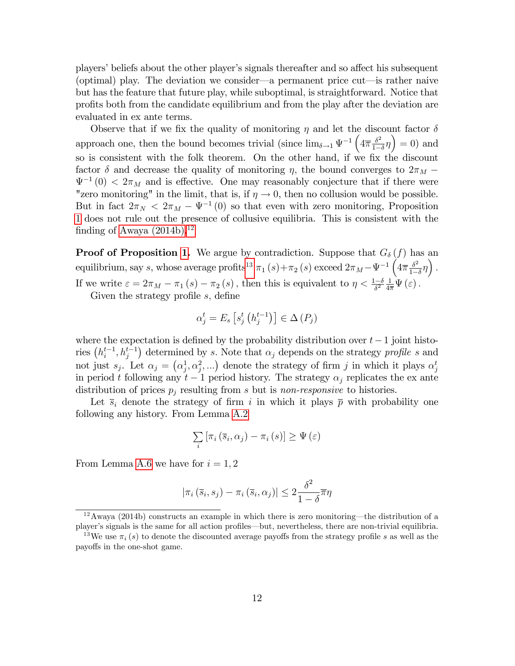players' beliefs about the other player's signals thereafter and so affect his subsequent (optimal) play. The deviation we consider—a permanent price cut—is rather naive but has the feature that future play, while suboptimal, is straightforward. Notice that profits both from the candidate equilibrium and from the play after the deviation are evaluated in ex ante terms.

Observe that if we fix the quality of monitoring  $\eta$  and let the discount factor  $\delta$ approach one, then the bound becomes trivial (since  $\lim_{\delta \to 1} \Psi^{-1} \left( 4 \overline{\pi} \frac{\delta^2}{1 - \overline{\Lambda}} \right)$  $\left(\frac{\delta^2}{1-\delta}\eta\right) = 0$  and so is consistent with the folk theorem. On the other hand, if we fix the discount factor  $\delta$  and decrease the quality of monitoring  $\eta$ , the bound converges to  $2\pi_M$  –  $\Psi^{-1}(0) < 2\pi_M$  and is effective. One may reasonably conjecture that if there were "zero monitoring" in the limit, that is, if  $\eta \to 0$ , then no collusion would be possible. But in fact  $2\pi_N < 2\pi_M - \Psi^{-1}(0)$  so that even with zero monitoring, Proposition [1](#page-9-0) does not rule out the presence of collusive equilibria. This is consistent with the finding of Awaya  $(2014b).<sup>12</sup>$  $(2014b).<sup>12</sup>$  $(2014b).<sup>12</sup>$ 

**Proof of Proposition [1.](#page-9-0)** We argue by contradiction. Suppose that  $G_{\delta}(f)$  has an equilibrium, say s, whose average profits<sup>[13](#page-11-1)</sup>  $\pi_1(s) + \pi_2(s)$  exceed  $2\pi_M - \Psi^{-1}\left(4\pi \frac{\delta^2}{1-\delta}\right)$  $\frac{\delta^2}{1-\delta}\eta\bigg)$ . If we write  $\varepsilon = 2\pi_M - \pi_1(s) - \pi_2(s)$ , then this is equivalent to  $\eta < \frac{1-\delta}{\delta^2} \frac{1}{4\pi} \Psi(\varepsilon)$ .

Given the strategy profile  $s$ , define

$$
\alpha_j^t = E_s \left[ s_j^t \left( h_j^{t-1} \right) \right] \in \Delta \left( P_j \right)
$$

where the expectation is defined by the probability distribution over  $t-1$  joint histories  $(h_i^{t-1}, h_j^{t-1})$  determined by s. Note that  $\alpha_j$  depends on the strategy profile s and not just  $s_j$ . Let  $\alpha_j = (\alpha_j^1, \alpha_j^2, ...)$  denote the strategy of firm j in which it plays  $\alpha_j^t$ in period t following any  $t-1$  period history. The strategy  $\alpha_i$  replicates the ex ante distribution of prices  $p_i$  resulting from s but is non-responsive to histories.

Let  $\bar{s}_i$  denote the strategy of firm i in which it plays  $\bar{p}$  with probability one following any history. From Lemma [A.2](#page-20-0)

$$
\sum_{i} \left[ \pi_i \left( \overline{s}_i, \alpha_j \right) - \pi_i \left( s \right) \right] \ge \Psi \left( \varepsilon \right)
$$

From Lemma [A.6](#page-24-0) we have for  $i = 1, 2$ 

$$
|\pi_i(\overline{s}_i, s_j) - \pi_i(\overline{s}_i, \alpha_j)| \le 2 \frac{\delta^2}{1 - \delta} \overline{\pi}\eta
$$

<span id="page-11-0"></span> $12\text{A}$ waya (2014b) constructs an example in which there is zero monitoring—the distribution of a player's signals is the same for all action profiles—but, nevertheless, there are non-trivial equilibria.

<span id="page-11-1"></span><sup>&</sup>lt;sup>13</sup>We use  $\pi_i$  (s) to denote the discounted average payoffs from the strategy profile s as well as the payoffs in the one-shot game.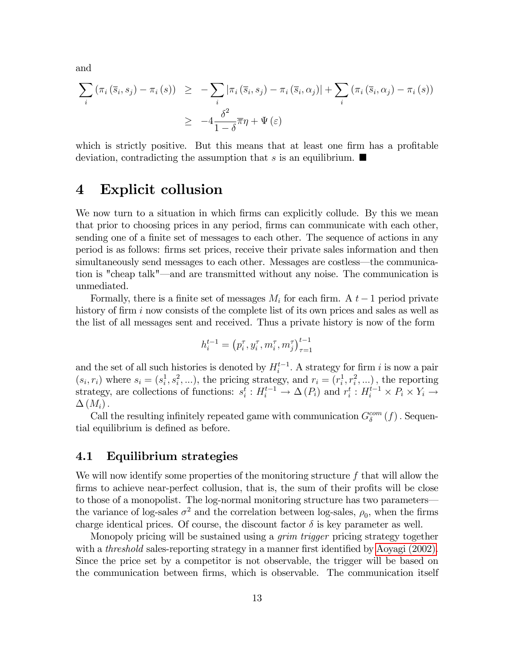and

$$
\sum_{i} (\pi_i (\overline{s}_i, s_j) - \pi_i (s)) \geq -\sum_{i} |\pi_i (\overline{s}_i, s_j) - \pi_i (\overline{s}_i, \alpha_j)| + \sum_{i} (\pi_i (\overline{s}_i, \alpha_j) - \pi_i (s))
$$
  

$$
\geq -4 \frac{\delta^2}{1 - \delta} \overline{\pi} \eta + \Psi (\varepsilon)
$$

which is strictly positive. But this means that at least one firm has a profitable deviation, contradicting the assumption that s is an equilibrium.  $\blacksquare$ 

### <span id="page-12-0"></span>4 Explicit collusion

We now turn to a situation in which firms can explicitly collude. By this we mean that prior to choosing prices in any period, firms can communicate with each other, sending one of a finite set of messages to each other. The sequence of actions in any period is as follows: Örms set prices, receive their private sales information and then simultaneously send messages to each other. Messages are costless—the communication is "cheap talk"—and are transmitted without any noise. The communication is unmediated.

Formally, there is a finite set of messages  $M_i$  for each firm. A  $t-1$  period private history of firm  $i$  now consists of the complete list of its own prices and sales as well as the list of all messages sent and received. Thus a private history is now of the form

$$
h_i^{t-1} = (p_i^{\tau}, y_i^{\tau}, m_i^{\tau}, m_j^{\tau})_{\tau=1}^{t-1}
$$

and the set of all such histories is denoted by  $H_i^{t-1}$ . A strategy for firm i is now a pair  $(s_i, r_i)$  where  $s_i = (s_i^1, s_i^2, \ldots)$ , the pricing strategy, and  $r_i = (r_i^1, r_i^2, \ldots)$ , the reporting strategy, are collections of functions:  $s_i^t : H_i^{t-1} \to \Delta(P_i)$  and  $r_i^t : H_i^{t-1} \times P_i \times Y_i \to$  $\Delta(M_i)$ .

Call the resulting infinitely repeated game with communication  $G_{\delta}^{com}(f)$ . Sequential equilibrium is defined as before.

#### 4.1 Equilibrium strategies

We will now identify some properties of the monitoring structure  $f$  that will allow the firms to achieve near-perfect collusion, that is, the sum of their profits will be close to those of a monopolist. The log-normal monitoring structure has two parameters the variance of log-sales  $\sigma^2$  and the correlation between log-sales,  $\rho_0$ , when the firms charge identical prices. Of course, the discount factor  $\delta$  is key parameter as well.

Monopoly pricing will be sustained using a *grim trigger* pricing strategy together with a *threshold* sales-reporting strategy in a manner first identified by [Aoyagi \(2002\).](#page-27-5) Since the price set by a competitor is not observable, the trigger will be based on the communication between firms, which is observable. The communication itself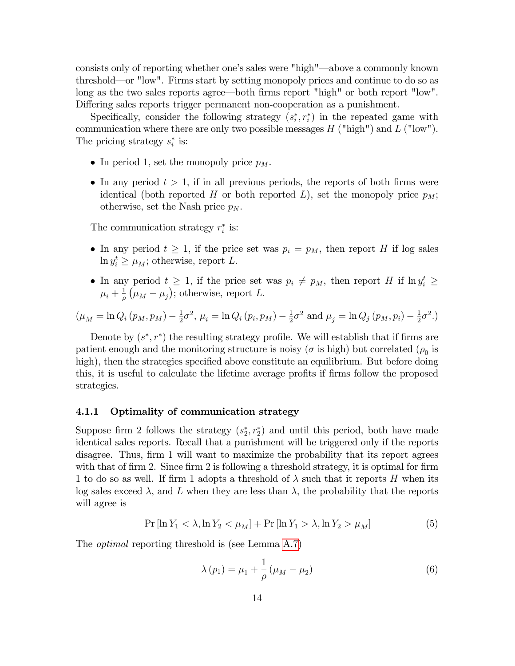consists only of reporting whether one's sales were "high"—above a commonly known threshold—or "low". Firms start by setting monopoly prices and continue to do so as long as the two sales reports agree—both firms report "high" or both report "low". Differing sales reports trigger permanent non-cooperation as a punishment.

Specifically, consider the following strategy  $(s_i^*, r_i^*)$  in the repeated game with communication where there are only two possible messages  $H$  ("high") and  $L$  ("low"). The pricing strategy  $s_i^*$  is:

- In period 1, set the monopoly price  $p_M$ .
- In any period  $t > 1$ , if in all previous periods, the reports of both firms were identical (both reported H or both reported L), set the monopoly price  $p_M$ ; otherwise, set the Nash price  $p_N$ .

The communication strategy  $r_i^*$  is:

- In any period  $t \geq 1$ , if the price set was  $p_i = p_M$ , then report H if log sales  $\ln y_i^t \ge \mu_M$ ; otherwise, report L.
- In any period  $t \geq 1$ , if the price set was  $p_i \neq p_M$ , then report H if  $\ln y_i^t \geq$  $\mu_i + \frac{1}{\rho}$  $\frac{1}{\rho}$   $(\mu_M - \mu_j)$ ; otherwise, report L.

$$
(\mu_M = \ln Q_i (p_M, p_M) - \frac{1}{2}\sigma^2, \mu_i = \ln Q_i (p_i, p_M) - \frac{1}{2}\sigma^2
$$
 and  $\mu_j = \ln Q_j (p_M, p_i) - \frac{1}{2}\sigma^2$ .)

Denote by  $(s^*, r^*)$  the resulting strategy profile. We will establish that if firms are patient enough and the monitoring structure is noisy ( $\sigma$  is high) but correlated ( $\rho_0$  is high), then the strategies specified above constitute an equilibrium. But before doing this, it is useful to calculate the lifetime average profits if firms follow the proposed strategies.

#### 4.1.1 Optimality of communication strategy

Suppose firm 2 follows the strategy  $(s_2^*, r_2^*)$  and until this period, both have made identical sales reports. Recall that a punishment will be triggered only if the reports disagree. Thus, firm 1 will want to maximize the probability that its report agrees with that of firm 2. Since firm 2 is following a threshold strategy, it is optimal for firm 1 to do so as well. If firm 1 adopts a threshold of  $\lambda$  such that it reports H when its log sales exceed  $\lambda$ , and L when they are less than  $\lambda$ , the probability that the reports will agree is

<span id="page-13-1"></span>
$$
\Pr\left[\ln Y_1 < \lambda, \ln Y_2 < \mu_M\right] + \Pr\left[\ln Y_1 > \lambda, \ln Y_2 > \mu_M\right] \tag{5}
$$

The *optimal* reporting threshold is (see Lemma [A.7\)](#page-25-0)

<span id="page-13-0"></span>
$$
\lambda(p_1) = \mu_1 + \frac{1}{\rho} (\mu_M - \mu_2)
$$
\n(6)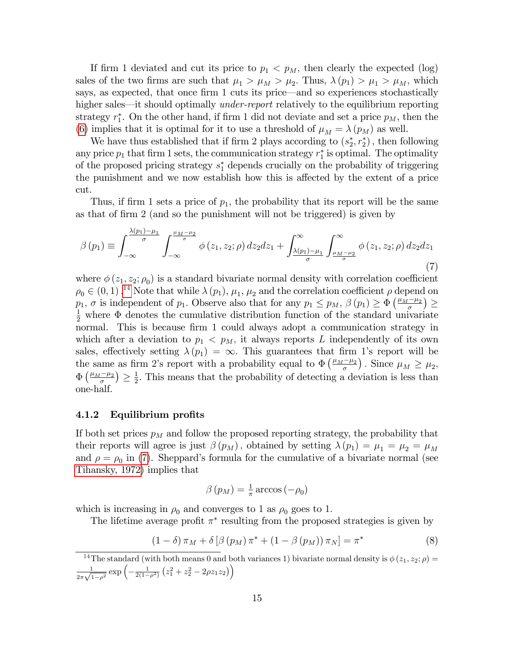If firm 1 deviated and cut its price to  $p_1 < p_M$ , then clearly the expected (log) sales of the two firms are such that  $\mu_1 > \mu_M > \mu_2$ . Thus,  $\lambda(p_1) > \mu_1 > \mu_M$ , which says, as expected, that once firm 1 cuts its price—and so experiences stochastically higher sales—it should optimally *under-report* relatively to the equilibrium reporting strategy  $r_1^*$ . On the other hand, if firm 1 did not deviate and set a price  $p_M$ , then the [\(6\)](#page-13-0) implies that it is optimal for it to use a threshold of  $\mu_M = \lambda(p_M)$  as well.

We have thus established that if firm 2 plays according to  $(s_2^*, r_2^*)$ , then following any price  $p_1$  that firm 1 sets, the communication strategy  $r_1^*$  is optimal. The optimality of the proposed pricing strategy  $s_1^*$  depends crucially on the probability of triggering the punishment and we now establish how this is affected by the extent of a price cut.

Thus, if firm 1 sets a price of  $p_1$ , the probability that its report will be the same as that of firm 2 (and so the punishment will not be triggered) is given by

<span id="page-14-1"></span>
$$
\beta(p_1) \equiv \int_{-\infty}^{\frac{\lambda(p_1)-\mu_1}{\sigma}} \int_{-\infty}^{\frac{\mu_M-\mu_2}{\sigma}} \phi(z_1, z_2; \rho) dz_2 dz_1 + \int_{\frac{\lambda(p_1)-\mu_1}{\sigma}}^{\infty} \int_{\frac{\mu_M-\mu_2}{\sigma}}^{\infty} \phi(z_1, z_2; \rho) dz_2 dz_1
$$
\n(7)

where  $\phi(z_1, z_2; \rho_0)$  is a standard bivariate normal density with correlation coefficient  $\rho_0 \in (0, 1)$ .<sup>[14](#page-14-0)</sup> Note that while  $\lambda(p_1)$ ,  $\mu_1$ ,  $\mu_2$  and the correlation coefficient  $\rho$  depend on  $p_1, \sigma$  is independent of  $p_1$ . Observe also that for any  $p_1 \leq p_M$ ,  $\beta(p_1) \geq \Phi\left(\frac{\mu_M - \mu_2}{\sigma}\right) \geq$  $\frac{1}{2}$  where  $\Phi$  denotes the cumulative distribution function of the standard univariate normal. This is because firm 1 could always adopt a communication strategy in which after a deviation to  $p_1 < p_M$ , it always reports L independently of its own sales, effectively setting  $\lambda(p_1) = \infty$ . This guarantees that firm 1's report will be the same as firm 2's report with a probability equal to  $\Phi\left(\frac{\mu_M-\mu_2}{\sigma}\right)$ . Since  $\mu_M \ge \mu_2$ ,  $\Phi\left(\frac{\mu_M-\mu_2}{\sigma}\right)\geq \frac{1}{2}$  $\frac{1}{2}$ . This means that the probability of detecting a deviation is less than one-half.

#### 4.1.2 Equilibrium profits

If both set prices  $p_M$  and follow the proposed reporting strategy, the probability that their reports will agree is just  $\beta(p_M)$ , obtained by setting  $\lambda(p_1) = \mu_1 = \mu_2 = \mu_M$ and  $\rho = \rho_0$  in [\(7\)](#page-14-1). Sheppard's formula for the cumulative of a bivariate normal (see [Tihansky, 1972\)](#page-29-4) implies that

$$
\beta(p_M) = \frac{1}{\pi} \arccos(-\rho_0)
$$

which is increasing in  $\rho_0$  and converges to 1 as  $\rho_0$  goes to 1.

The lifetime average profit  $\pi^*$  resulting from the proposed strategies is given by

<span id="page-14-2"></span>
$$
(1 - \delta)\pi_M + \delta[\beta(p_M)\pi^* + (1 - \beta(p_M))\pi_N] = \pi^*
$$
\n(8)

<span id="page-14-0"></span><sup>&</sup>lt;sup>14</sup>The standard (with both means 0 and both variances 1) bivariate normal density is  $\phi(z_1, z_2; \rho)$ 1  $\frac{1}{2\pi\sqrt{1-\rho^2}}\exp\left(-\frac{1}{2(1-\rho^2)}\left(z_1^2+z_2^2-2\rho z_1z_2\right)\right)$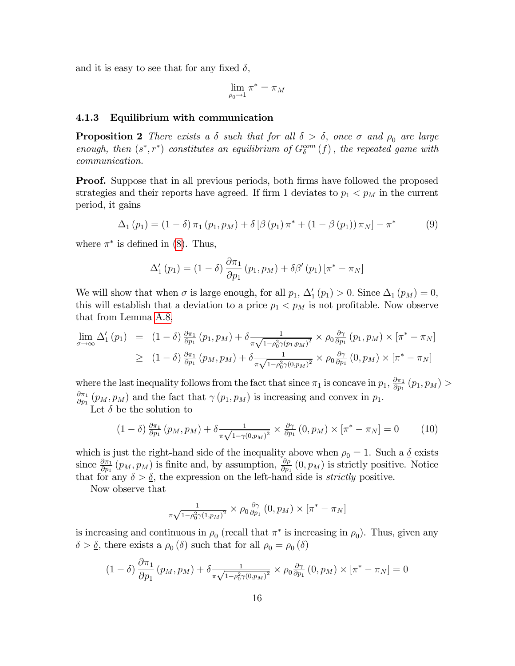and it is easy to see that for any fixed  $\delta$ ,

$$
\lim_{\rho_0 \to 1} \pi^* = \pi_M
$$

#### 4.1.3 Equilibrium with communication

<span id="page-15-0"></span>**Proposition 2** There exists a  $\delta$  such that for all  $\delta > \delta$ , once  $\sigma$  and  $\rho_0$  are large enough, then  $(s^*, r^*)$  constitutes an equilibrium of  $G_{\delta}^{com}(f)$ , the repeated game with communication.

**Proof.** Suppose that in all previous periods, both firms have followed the proposed strategies and their reports have agreed. If firm 1 deviates to  $p_1 < p_M$  in the current period, it gains

<span id="page-15-2"></span>
$$
\Delta_1 (p_1) = (1 - \delta) \pi_1 (p_1, p_M) + \delta [\beta (p_1) \pi^* + (1 - \beta (p_1)) \pi_N] - \pi^* \tag{9}
$$

where  $\pi^*$  is defined in [\(8\)](#page-14-2). Thus,

$$
\Delta_{1}'\left(p_{1}\right) = \left(1-\delta\right) \frac{\partial \pi_{1}}{\partial p_{1}}\left(p_{1}, p_{M}\right) + \delta \beta'\left(p_{1}\right)\left[\pi^{*} - \pi_{N}\right]
$$

We will show that when  $\sigma$  is large enough, for all  $p_1$ ,  $\Delta'_1(p_1) > 0$ . Since  $\Delta_1(p_M) = 0$ , this will establish that a deviation to a price  $p_1 < p_M$  is not profitable. Now observe that from Lemma [A.8,](#page-26-0)

$$
\lim_{\sigma \to \infty} \Delta_1'(p_1) = (1 - \delta) \frac{\partial \pi_1}{\partial p_1}(p_1, p_M) + \delta \frac{1}{\pi \sqrt{1 - \rho_0^2 \gamma(p_1, p_M)^2}} \times \rho_0 \frac{\partial \gamma}{\partial p_1}(p_1, p_M) \times [\pi^* - \pi_N]
$$
\n
$$
\geq (1 - \delta) \frac{\partial \pi_1}{\partial p_1}(p_M, p_M) + \delta \frac{1}{\pi \sqrt{1 - \rho_0^2 \gamma(0, p_M)^2}} \times \rho_0 \frac{\partial \gamma}{\partial p_1}(0, p_M) \times [\pi^* - \pi_N]
$$

where the last inequality follows from the fact that since  $\pi_1$  is concave in  $p_1$ ,  $\frac{\partial \pi_1}{\partial p_1}$  $\frac{\partial \pi_1}{\partial p_1} (p_1, p_M) >$  $\partial\pi_1$  $\frac{\partial \pi_1}{\partial p_1}(p_M, p_M)$  and the fact that  $\gamma(p_1, p_M)$  is increasing and convex in  $p_1$ .

Let  $\underline{\delta}$  be the solution to

<span id="page-15-1"></span>
$$
(1 - \delta) \frac{\partial \pi_1}{\partial p_1} (p_M, p_M) + \delta \frac{1}{\pi \sqrt{1 - \gamma(0, p_M)^2}} \times \frac{\partial \gamma}{\partial p_1} (0, p_M) \times [\pi^* - \pi_N] = 0 \tag{10}
$$

which is just the right-hand side of the inequality above when  $\rho_0 = 1$ . Such a  $\delta$  exists since  $\frac{\partial \pi_1}{\partial p_1}(p_M, p_M)$  is finite and, by assumption,  $\frac{\partial \rho_1}{\partial p_1}(0, p_M)$  is strictly positive. Notice that for any  $\delta > \delta$ , the expression on the left-hand side is *strictly* positive.

Now observe that

$$
\frac{1}{\pi\sqrt{1-\rho_0^2\gamma(1,p_M)^2}}\times\rho_0\frac{\partial\gamma}{\partial p_1}\left(0,p_M\right)\times\left[\pi^*-\pi_N\right]
$$

is increasing and continuous in  $\rho_0$  (recall that  $\pi^*$  is increasing in  $\rho_0$ ). Thus, given any  $\delta > \underline{\delta}$ , there exists a  $\rho_0(\delta)$  such that for all  $\rho_0 = \rho_0(\delta)$ 

$$
(1 - \delta) \frac{\partial \pi_1}{\partial p_1} (p_M, p_M) + \delta \frac{1}{\pi \sqrt{1 - \rho_0^2 \gamma (0, p_M)^2}} \times \rho_0 \frac{\partial \gamma}{\partial p_1} (0, p_M) \times [\pi^* - \pi_N] = 0
$$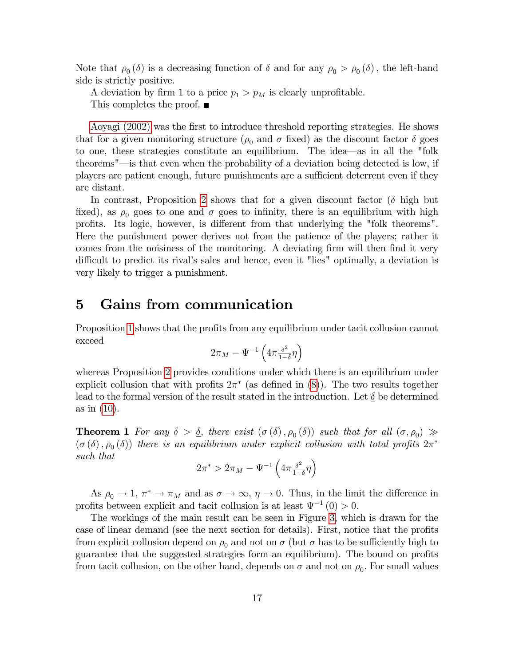Note that  $\rho_0(\delta)$  is a decreasing function of  $\delta$  and for any  $\rho_0 > \rho_0(\delta)$ , the left-hand side is strictly positive.

A deviation by firm 1 to a price  $p_1 > p_M$  is clearly unprofitable. This completes the proof. ■

[Aoyagi \(2002\)](#page-27-5) was the Örst to introduce threshold reporting strategies. He shows that for a given monitoring structure ( $\rho_0$  and  $\sigma$  fixed) as the discount factor  $\delta$  goes to one, these strategies constitute an equilibrium. The idea—as in all the "folk theorems"—is that even when the probability of a deviation being detected is low, if players are patient enough, future punishments are a sufficient deterrent even if they are distant.

In contrast, Proposition [2](#page-15-0) shows that for a given discount factor  $(\delta$  high but fixed), as  $\rho_0$  goes to one and  $\sigma$  goes to infinity, there is an equilibrium with high profits. Its logic, however, is different from that underlying the "folk theorems". Here the punishment power derives not from the patience of the players; rather it comes from the noisiness of the monitoring. A deviating firm will then find it very difficult to predict its rival's sales and hence, even it "lies" optimally, a deviation is very likely to trigger a punishment.

### <span id="page-16-0"></span>5 Gains from communication

Proposition [1](#page-9-0) shows that the profits from any equilibrium under tacit collusion cannot exceed

$$
2\pi_M - \Psi^{-1}\left(4\overline{\pi}\frac{\delta^2}{1-\delta}\eta\right)
$$

whereas Proposition [2](#page-15-0) provides conditions under which there is an equilibrium under explicit collusion that with profits  $2\pi^*$  (as defined in  $(8)$ ). The two results together lead to the formal version of the result stated in the introduction. Let  $\delta$  be determined as in [\(10\)](#page-15-1).

**Theorem 1** For any  $\delta > \underline{\delta}$ , there exist  $(\sigma(\delta), \rho_0(\delta))$  such that for all  $(\sigma, \rho_0) \gg$  $(\sigma(\delta), \rho_0(\delta))$  there is an equilibrium under explicit collusion with total profits  $2\pi^*$ such that

$$
2\pi^* > 2\pi_M - \Psi^{-1}\left(4\overline{\pi} \frac{\delta^2}{1-\delta} \eta\right)
$$

As  $\rho_0 \to 1$ ,  $\pi^* \to \pi_M$  and as  $\sigma \to \infty$ ,  $\eta \to 0$ . Thus, in the limit the difference in profits between explicit and tacit collusion is at least  $\Psi^{-1}(0) > 0$ .

The workings of the main result can be seen in Figure [3,](#page-17-1) which is drawn for the case of linear demand (see the next section for details). First, notice that the profits from explicit collusion depend on  $\rho_0$  and not on  $\sigma$  (but  $\sigma$  has to be sufficiently high to guarantee that the suggested strategies form an equilibrium). The bound on profits from tacit collusion, on the other hand, depends on  $\sigma$  and not on  $\rho_0$ . For small values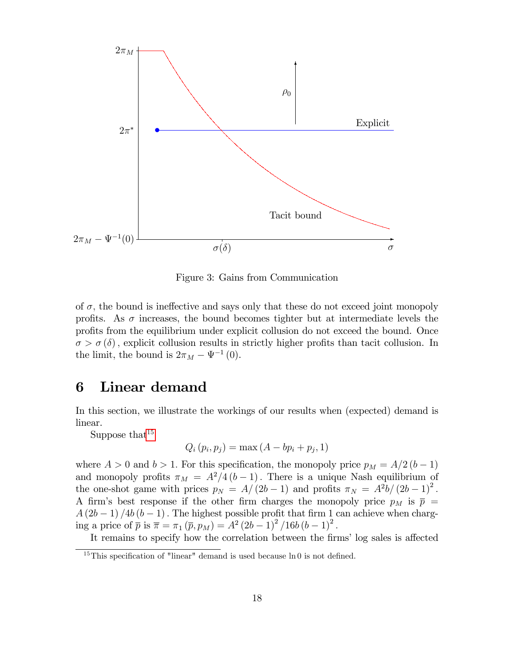

<span id="page-17-1"></span>Figure 3: Gains from Communication

of  $\sigma$ , the bound is ineffective and says only that these do not exceed joint monopoly profits. As  $\sigma$  increases, the bound becomes tighter but at intermediate levels the profits from the equilibrium under explicit collusion do not exceed the bound. Once  $\sigma > \sigma(\delta)$ , explicit collusion results in strictly higher profits than tacit collusion. In the limit, the bound is  $2\pi_M - \Psi^{-1}(0)$ .

# <span id="page-17-0"></span>6 Linear demand

In this section, we illustrate the workings of our results when (expected) demand is linear.

Suppose that  $15$ 

$$
Q_i(p_i, p_j) = \max(A - bp_i + p_j, 1)
$$

where  $A > 0$  and  $b > 1$ . For this specification, the monopoly price  $p_M = A/2 (b - 1)$ and monopoly profits  $\pi_M = A^2/4 (b-1)$ . There is a unique Nash equilibrium of the one-shot game with prices  $p_N = A/(2b-1)$  and profits  $\pi_N = A^2b/(2b-1)^2$ . A firm's best response if the other firm charges the monopoly price  $p_M$  is  $\bar{p}$  =  $A(2b-1)/4b(b-1)$ . The highest possible profit that firm 1 can achieve when charging a price of  $\bar{p}$  is  $\bar{\pi} = \pi_1 (\bar{p}, p_M) = A^2 (2b - 1)^2 / 16b (b - 1)^2$ .

It remains to specify how the correlation between the firms' log sales is affected

<span id="page-17-2"></span><sup>&</sup>lt;sup>15</sup>This specification of "linear" demand is used because  $\ln 0$  is not defined.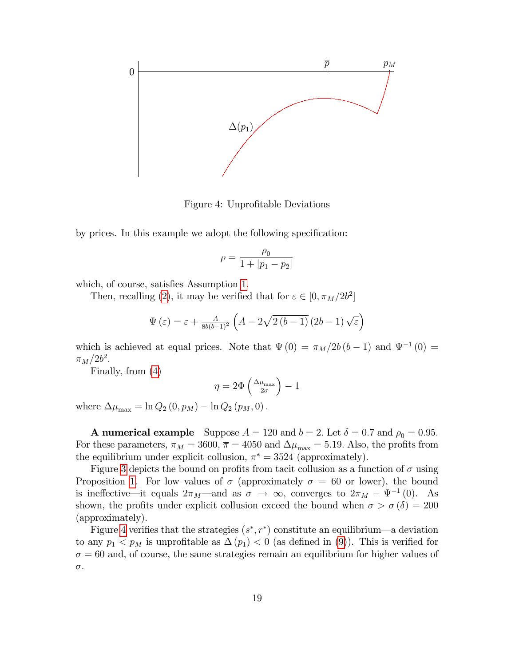

<span id="page-18-0"></span>Figure 4: Unprofitable Deviations

by prices. In this example we adopt the following specification:

$$
\rho=\frac{\rho_0}{1+|p_1-p_2|}
$$

which, of course, satisfies Assumption [1.](#page-6-3)

Then, recalling [\(2\)](#page-8-1), it may be verified that for  $\varepsilon \in [0, \pi_M/2b^2]$ 

$$
\Psi\left(\varepsilon\right) = \varepsilon + \frac{A}{8b(b-1)^2} \left(A - 2\sqrt{2\left(b-1\right)}\left(2b-1\right)\sqrt{\varepsilon}\right)
$$

which is achieved at equal prices. Note that  $\Psi(0) = \pi_M/2b (b - 1)$  and  $\Psi^{-1}(0) =$  $\pi_M/2b^2$ .

Finally, from [\(4\)](#page-9-2)

$$
\eta = 2\Phi\left(\tfrac{\Delta\mu_{\max}}{2\sigma}\right) - 1
$$

where  $\Delta \mu_{\text{max}} = \ln Q_2 (0, p_M) - \ln Q_2 (p_M, 0)$ .

**A numerical example** Suppose  $A = 120$  and  $b = 2$ . Let  $\delta = 0.7$  and  $\rho_0 = 0.95$ . For these parameters,  $\pi_M = 3600$ ,  $\overline{\pi} = 4050$  and  $\Delta \mu_{\text{max}} = 5.19$ . Also, the profits from the equilibrium under explicit collusion,  $\pi^* = 3524$  (approximately).

Figure [3](#page-17-1) depicts the bound on profits from tacit collusion as a function of  $\sigma$  using Proposition [1.](#page-9-0) For low values of  $\sigma$  (approximately  $\sigma = 60$  or lower), the bound is ineffective—it equals  $2\pi_M$ —and as  $\sigma \to \infty$ , converges to  $2\pi_M - \Psi^{-1}(0)$ . As shown, the profits under explicit collusion exceed the bound when  $\sigma > \sigma(\delta) = 200$ (approximately).

Figure [4](#page-18-0) verifies that the strategies  $(s^*, r^*)$  constitute an equilibrium—a deviation to any  $p_1 < p_M$  is unprofitable as  $\Delta(p_1) < 0$  (as defined in [\(9\)](#page-15-2)). This is verified for  $\sigma = 60$  and, of course, the same strategies remain an equilibrium for higher values of  $\sigma.$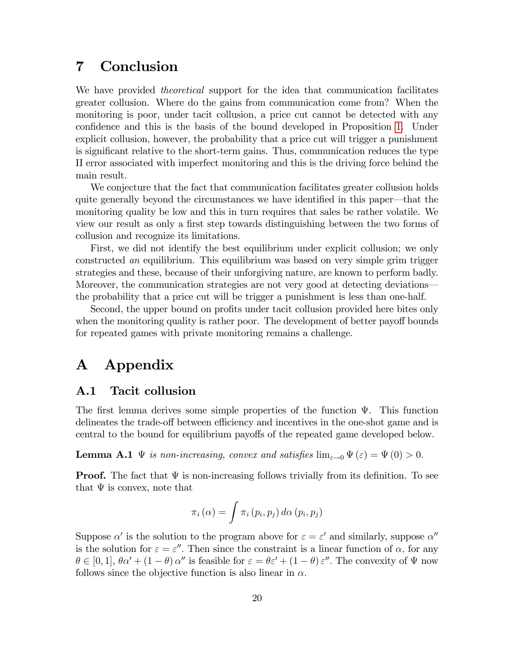# 7 Conclusion

We have provided *theoretical* support for the idea that communication facilitates greater collusion. Where do the gains from communication come from? When the monitoring is poor, under tacit collusion, a price cut cannot be detected with any confidence and this is the basis of the bound developed in Proposition [1.](#page-9-0) Under explicit collusion, however, the probability that a price cut will trigger a punishment is significant relative to the short-term gains. Thus, communication reduces the type II error associated with imperfect monitoring and this is the driving force behind the main result.

We conjecture that the fact that communication facilitates greater collusion holds quite generally beyond the circumstances we have identified in this paper—that the monitoring quality be low and this in turn requires that sales be rather volatile. We view our result as only a first step towards distinguishing between the two forms of collusion and recognize its limitations.

First, we did not identify the best equilibrium under explicit collusion; we only constructed an equilibrium. This equilibrium was based on very simple grim trigger strategies and these, because of their unforgiving nature, are known to perform badly. Moreover, the communication strategies are not very good at detecting deviationsthe probability that a price cut will be trigger a punishment is less than one-half.

Second, the upper bound on profits under tacit collusion provided here bites only when the monitoring quality is rather poor. The development of better payoff bounds for repeated games with private monitoring remains a challenge.

# A Appendix

#### A.1 Tacit collusion

The first lemma derives some simple properties of the function  $\Psi$ . This function delineates the trade-off between efficiency and incentives in the one-shot game and is central to the bound for equilibrium payoffs of the repeated game developed below.

<span id="page-19-0"></span>**Lemma A.1**  $\Psi$  is non-increasing, convex and satisfies  $\lim_{\varepsilon \to 0} \Psi(\varepsilon) = \Psi(0) > 0$ .

**Proof.** The fact that  $\Psi$  is non-increasing follows trivially from its definition. To see that  $\Psi$  is convex, note that

$$
\pi_i(\alpha) = \int \pi_i(p_i, p_j) \, d\alpha(p_i, p_j)
$$

Suppose  $\alpha'$  is the solution to the program above for  $\varepsilon = \varepsilon'$  and similarly, suppose  $\alpha''$ is the solution for  $\varepsilon = \varepsilon''$ . Then since the constraint is a linear function of  $\alpha$ , for any  $\theta \in [0, 1], \theta \alpha' + (1 - \theta) \alpha''$  is feasible for  $\varepsilon = \theta \varepsilon' + (1 - \theta) \varepsilon''$ . The convexity of  $\Psi$  now follows since the objective function is also linear in  $\alpha$ .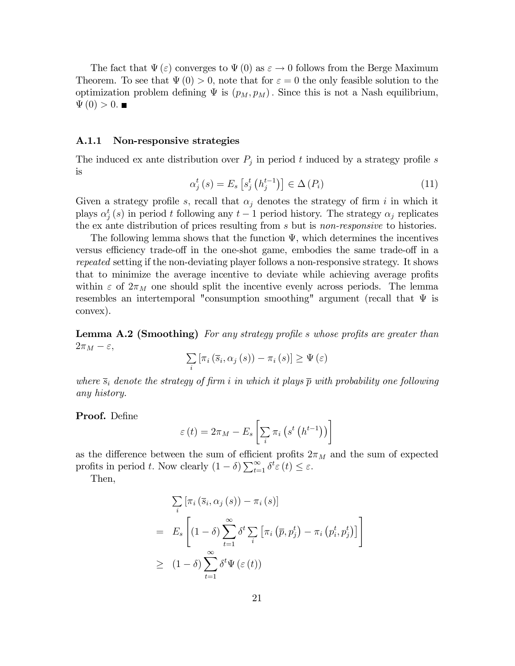The fact that  $\Psi(\varepsilon)$  converges to  $\Psi(0)$  as  $\varepsilon \to 0$  follows from the Berge Maximum Theorem. To see that  $\Psi(0) > 0$ , note that for  $\varepsilon = 0$  the only feasible solution to the optimization problem defining  $\Psi$  is  $(p_M, p_M)$ . Since this is not a Nash equilibrium,  $\Psi(0) > 0.$ 

#### A.1.1 Non-responsive strategies

The induced ex ante distribution over  $P_j$  in period t induced by a strategy profile s is

<span id="page-20-1"></span>
$$
\alpha_j^t(s) = E_s \left[ s_j^t \left( h_j^{t-1} \right) \right] \in \Delta \left( P_i \right) \tag{11}
$$

Given a strategy profile s, recall that  $\alpha_j$  denotes the strategy of firm i in which it plays  $\alpha_j^t(s)$  in period t following any  $t-1$  period history. The strategy  $\alpha_j$  replicates the ex ante distribution of prices resulting from s but is *non-responsive* to histories.

The following lemma shows that the function  $\Psi$ , which determines the incentives versus efficiency trade-off in the one-shot game, embodies the same trade-off in a repeated setting if the non-deviating player follows a non-responsive strategy. It shows that to minimize the average incentive to deviate while achieving average profits within  $\varepsilon$  of  $2\pi_M$  one should split the incentive evenly across periods. The lemma resembles an intertemporal "consumption smoothing" argument (recall that  $\Psi$  is convex).

<span id="page-20-0"></span>**Lemma A.2 (Smoothing)** For any strategy profile s whose profits are greater than  $2\pi_M - \varepsilon,$ 

$$
\sum_{i} \left[ \pi_i \left( \overline{s}_i, \alpha_j \left( s \right) \right) - \pi_i \left( s \right) \right] \geq \Psi \left( \varepsilon \right)
$$

where  $\bar{s}_i$  denote the strategy of firm i in which it plays  $\bar{p}$  with probability one following any history.

Proof. Define

$$
\varepsilon(t) = 2\pi_M - E_s \left[ \sum_i \pi_i \left( s^t \left( h^{t-1} \right) \right) \right]
$$

as the difference between the sum of efficient profits  $2\pi_M$  and the sum of expected profits in period t. Now clearly  $(1 - \delta) \sum_{t=1}^{\infty} \delta^t \varepsilon(t) \leq \varepsilon$ .

Then,

$$
\sum_{i} \left[ \pi_{i} \left( \overline{s}_{i}, \alpha_{j} \left( s \right) \right) - \pi_{i} \left( s \right) \right]
$$
\n
$$
= E_{s} \left[ \left( 1 - \delta \right) \sum_{t=1}^{\infty} \delta^{t} \sum_{i} \left[ \pi_{i} \left( \overline{p}, p_{j}^{t} \right) - \pi_{i} \left( p_{i}^{t}, p_{j}^{t} \right) \right] \right]
$$
\n
$$
\geq (1 - \delta) \sum_{t=1}^{\infty} \delta^{t} \Psi \left( \varepsilon \left( t \right) \right)
$$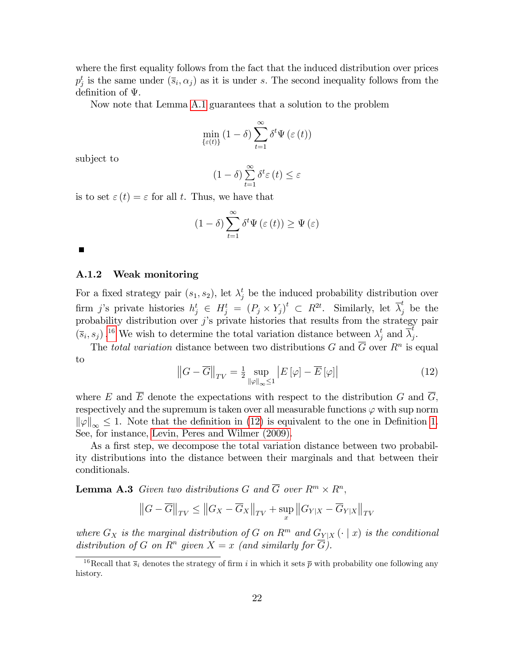where the first equality follows from the fact that the induced distribution over prices  $p_j^t$  is the same under  $(\bar{s}_i, \alpha_j)$  as it is under s. The second inequality follows from the definition of  $\Psi$ .

Now note that Lemma [A.1](#page-19-0) guarantees that a solution to the problem

$$
\min_{\{\varepsilon(t)\}} (1-\delta) \sum_{t=1}^{\infty} \delta^t \Psi\left(\varepsilon(t)\right)
$$

subject to

$$
(1 - \delta) \sum_{t=1}^{\infty} \delta^t \varepsilon(t) \le \varepsilon
$$

is to set  $\varepsilon(t) = \varepsilon$  for all t. Thus, we have that

$$
(1 - \delta) \sum_{t=1}^{\infty} \delta^t \Psi \left( \varepsilon \left( t \right) \right) \ge \Psi \left( \varepsilon \right)
$$

#### A.1.2 Weak monitoring

For a fixed strategy pair  $(s_1, s_2)$ , let  $\lambda_j^t$  be the induced probability distribution over firm j's private histories  $h_j^t \in H_j^t = (P_j \times Y_j)^t \subset R^{2t}$ . Similarly, let  $\overline{\lambda}_j^t$  be the probability distribution over  $j$ 's private histories that results from the strategy pair  $(\bar{s}_i, s_j)$ .<sup>[16](#page-21-0)</sup> We wish to determine the total variation distance between  $\lambda_j^t$  and  $\bar{\lambda}_j^t$ .<br>j•

The total variation distance between two distributions G and  $\overline{G}$  over  $R^n$  is equal to

<span id="page-21-1"></span>
$$
\left\|G - \overline{G}\right\|_{TV} = \frac{1}{2} \sup_{\|\varphi\|_{\infty} \le 1} \left| E\left[\varphi\right] - \overline{E}\left[\varphi\right] \right| \tag{12}
$$

where E and  $\overline{E}$  denote the expectations with respect to the distribution G and  $\overline{G}$ , respectively and the supremum is taken over all measurable functions  $\varphi$  with sup norm  $\|\varphi\|_{\infty} \leq 1$ . Note that the definition in [\(12\)](#page-21-1) is equivalent to the one in Definition [1.](#page-9-3) See, for instance, [Levin, Peres and Wilmer \(2009\).](#page-28-11)

As a first step, we decompose the total variation distance between two probability distributions into the distance between their marginals and that between their conditionals.

<span id="page-21-2"></span>**Lemma A.3** Given two distributions G and  $\overline{G}$  over  $R^m \times R^n$ ,

$$
\left\|G - \overline{G}\right\|_{TV} \le \left\|G_X - \overline{G}_X\right\|_{TV} + \sup_x \left\|G_{Y|X} - \overline{G}_{Y|X}\right\|_{TV}
$$

where  $G_X$  is the marginal distribution of G on  $R^m$  and  $G_{Y|X}(\cdot | x)$  is the conditional distribution of G on  $\mathbb{R}^n$  given  $X = x$  (and similarly for  $\overline{G}$ ).

<span id="page-21-0"></span><sup>&</sup>lt;sup>16</sup>Recall that  $\overline{s_i}$  denotes the strategy of firm i in which it sets  $\overline{p}$  with probability one following any history.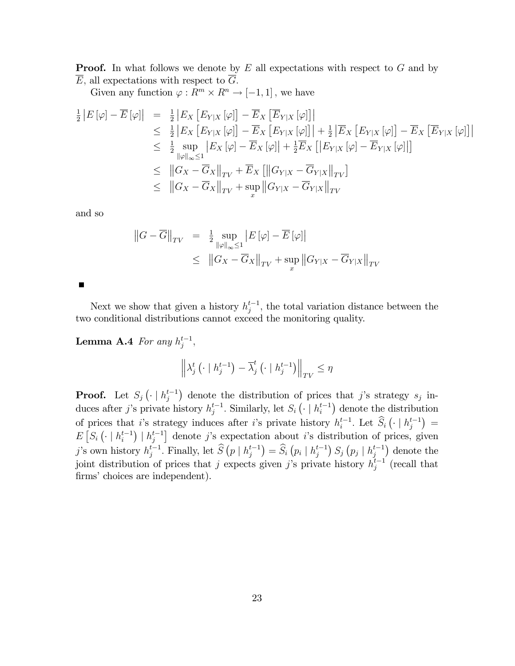**Proof.** In what follows we denote by  $E$  all expectations with respect to  $G$  and by  $\overline{E}$ , all expectations with respect to  $\overline{G}$ .

Given any function  $\varphi : R^m \times R^n \to [-1,1]$ , we have

$$
\frac{1}{2} |E[\varphi] - \overline{E}[\varphi]| = \frac{1}{2} |E_X [E_{Y|X} [\varphi]] - \overline{E}_X [\overline{E}_{Y|X} [\varphi]]|
$$
\n
$$
\leq \frac{1}{2} |E_X [E_{Y|X} [\varphi]] - \overline{E}_X [E_{Y|X} [\varphi]]| + \frac{1}{2} |\overline{E}_X [E_{Y|X} [\varphi]] - \overline{E}_X [\overline{E}_{Y|X} [\varphi]]|
$$
\n
$$
\leq \frac{1}{2} \sup_{\|\varphi\|_{\infty} \leq 1} |E_X [\varphi] - \overline{E}_X [\varphi]| + \frac{1}{2} \overline{E}_X [E_{Y|X} [\varphi] - \overline{E}_{Y|X} [\varphi]]]
$$
\n
$$
\leq ||G_X - \overline{G}_X||_{TV} + \overline{E}_X [||G_{Y|X} - \overline{G}_{Y|X} ||_{TV}]
$$
\n
$$
\leq ||G_X - \overline{G}_X||_{TV} + \sup_x ||G_{Y|X} - \overline{G}_{Y|X} ||_{TV}
$$

and so

$$
||G - \overline{G}||_{TV} = \frac{1}{2} \sup_{||\varphi||_{\infty} \le 1} |E(\varphi) - \overline{E}(\varphi)||
$$
  
 
$$
\le ||G_X - \overline{G}_X||_{TV} + \sup_x ||G_{Y|X} - \overline{G}_{Y|X}||_{TV}
$$

Г

Next we show that given a history  $h_j^{t-1}$ , the total variation distance between the two conditional distributions cannot exceed the monitoring quality.

<span id="page-22-0"></span>**Lemma A.4** For any  $h_j^{t-1}$ ,

$$
\left\|\lambda_j^t\left(\cdot\mid h_j^{t-1}\right)-\overline{\lambda}_j^t\left(\cdot\mid h_j^{t-1}\right)\right\|_{TV}\leq \eta
$$

**Proof.** Let  $S_j(\cdot \mid h_j^{t-1})$  denote the distribution of prices that j's strategy  $s_j$  induces after j's private history  $h_j^{t-1}$ . Similarly, let  $S_i\left(\cdot \mid h_i^{t-1}\right)$  denote the distribution of prices that i's strategy induces after i's private history  $h_i^{t-1}$ . Let  $\widehat{S}_i\left(\cdot \mid h_j^{t-1}\right)$  =  $E\left[S_i\left(\cdot \mid h_i^{t-1}\right) \mid h_j^{t-1}\right]$  denote j's expectation about i's distribution of prices, given j's own history  $h_j^{t-1}$ . Finally, let  $\widehat{S}\left(p \mid h_j^{t-1}\right) = \widehat{S}_i\left(p_i \mid h_j^{t-1}\right) S_j\left(p_j \mid h_j^{t-1}\right)$  denote the joint distribution of prices that j expects given j's private history  $h_j^{t-1}$  (recall that firms' choices are independent).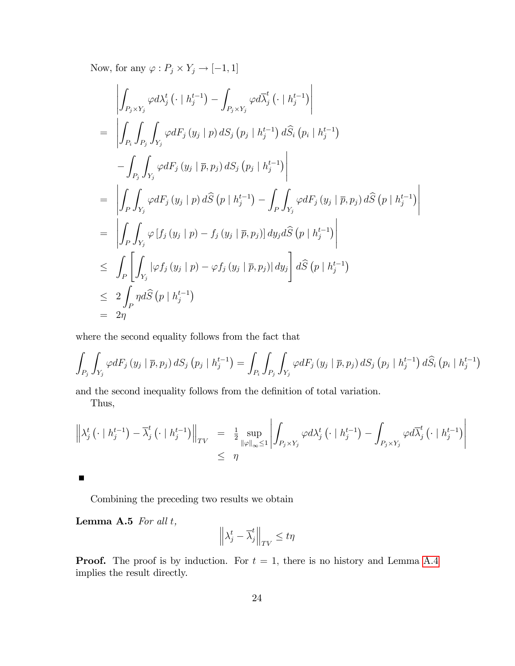Now, for any  $\varphi : P_j \times Y_j \to [-1, 1]$ 

$$
\left| \int_{P_j \times Y_j} \varphi d\lambda_j^{t} \left( \cdot \mid h_j^{t-1} \right) - \int_{P_j \times Y_j} \varphi d\overline{\lambda}_j^{t} \left( \cdot \mid h_j^{t-1} \right) \right|
$$
\n
$$
= \left| \int_{P_i} \int_{P_j} \int_{Y_j} \varphi dF_j \left( y_j \mid p \right) dS_j \left( p_j \mid h_j^{t-1} \right) d\widehat{S}_i \left( p_i \mid h_j^{t-1} \right)
$$
\n
$$
- \int_{P_j} \int_{Y_j} \varphi dF_j \left( y_j \mid \overline{p}, p_j \right) dS_j \left( p_j \mid h_j^{t-1} \right) \right|
$$
\n
$$
= \left| \int_P \int_{Y_j} \varphi dF_j \left( y_j \mid p \right) d\widehat{S} \left( p \mid h_j^{t-1} \right) - \int_P \int_{Y_j} \varphi dF_j \left( y_j \mid \overline{p}, p_j \right) d\widehat{S} \left( p \mid h_j^{t-1} \right) \right|
$$
\n
$$
= \left| \int_P \int_{Y_j} \varphi \left[ f_j \left( y_j \mid p \right) - f_j \left( y_j \mid \overline{p}, p_j \right) \right] dy_j d\widehat{S} \left( p \mid h_j^{t-1} \right) \right|
$$
\n
$$
\leq \int_P \left[ \int_{Y_j} |\varphi f_j \left( y_j \mid p \right) - \varphi f_j \left( y_j \mid \overline{p}, p_j \right) | dy_j \right] d\widehat{S} \left( p \mid h_j^{t-1} \right)
$$
\n
$$
\leq 2 \int_P \eta d\widehat{S} \left( p \mid h_j^{t-1} \right)
$$
\n
$$
= 2\eta
$$

where the second equality follows from the fact that

$$
\int_{P_j}\int_{Y_j}\varphi dF_j\left(y_j\mid\overline{p},p_j\right)dS_j\left(p_j\mid h_j^{t-1}\right)=\int_{P_i}\int_{P_j}\int_{Y_j}\varphi dF_j\left(y_j\mid\overline{p},p_j\right)dS_j\left(p_j\mid h_j^{t-1}\right)d\widehat{S}_i\left(p_i\mid h_j^{t-1}\right)
$$

and the second inequality follows from the definition of total variation.

Thus,

$$
\left\| \lambda_j^t \left( \cdot \mid h_j^{t-1} \right) - \overline{\lambda}_j^t \left( \cdot \mid h_j^{t-1} \right) \right\|_{TV} = \frac{1}{2} \sup_{\|\varphi\|_{\infty} \le 1} \left| \int_{P_j \times Y_j} \varphi d\lambda_j^t \left( \cdot \mid h_j^{t-1} \right) - \int_{P_j \times Y_j} \varphi d\overline{\lambda}_j^t \left( \cdot \mid h_j^{t-1} \right) \right|
$$
  

$$
\le \eta
$$

Combining the preceding two results we obtain

<span id="page-23-0"></span>Lemma A.5 For all <sup>t</sup>,

$$
\left\|\lambda_j^t - \overline{\lambda}_j^t\right\|_{TV} \le t\eta
$$

**Proof.** The proof is by induction. For  $t = 1$ , there is no history and Lemma [A.4](#page-22-0) implies the result directly.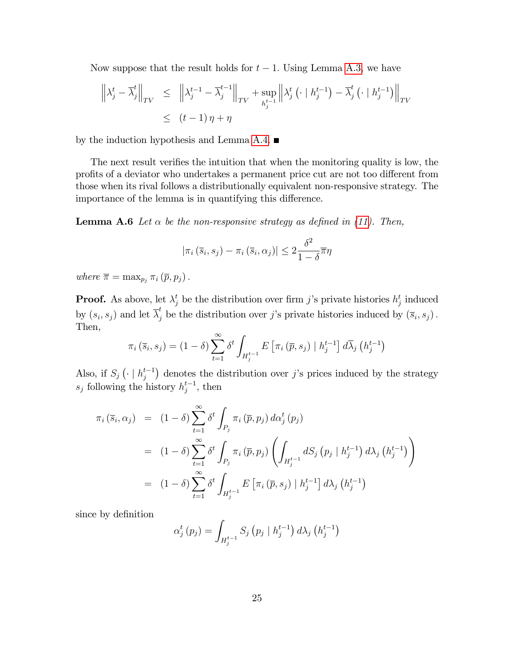Now suppose that the result holds for  $t - 1$ . Using Lemma [A.3,](#page-21-2) we have

$$
\left\| \lambda_j^t - \overline{\lambda}_j^t \right\|_{TV} \leq \left\| \lambda_j^{t-1} - \overline{\lambda}_j^{t-1} \right\|_{TV} + \sup_{h_j^{t-1}} \left\| \lambda_j^t \left( \cdot \mid h_j^{t-1} \right) - \overline{\lambda}_j^t \left( \cdot \mid h_j^{t-1} \right) \right\|_{TV}
$$
  

$$
\leq (t-1)\eta + \eta
$$

by the induction hypothesis and Lemma [A.4.](#page-22-0)  $\blacksquare$ 

The next result verifies the intuition that when the monitoring quality is low, the profits of a deviator who undertakes a permanent price cut are not too different from those when its rival follows a distributionally equivalent non-responsive strategy. The importance of the lemma is in quantifying this difference.

<span id="page-24-0"></span>**Lemma A.6** Let  $\alpha$  be the non-responsive strategy as defined in [\(11\)](#page-20-1). Then,

$$
|\pi_i(\overline{s}_i, s_j) - \pi_i(\overline{s}_i, \alpha_j)| \leq 2 \frac{\delta^2}{1 - \delta} \overline{\pi}\eta
$$

where  $\overline{\pi} = \max_{p_i} \pi_i (\overline{p}, p_j)$ .

**Proof.** As above, let  $\lambda_j^t$  be the distribution over firm j's private histories  $h_j^t$  induced by  $(s_i, s_j)$  and let  $\overline{\lambda}_j^t$  be the distribution over j's private histories induced by  $(\overline{s}_i, s_j)$ . Then,

$$
\pi_i\left(\overline{s}_i, s_j\right) = \left(1 - \delta\right) \sum_{t=1}^{\infty} \delta^t \int_{H_j^{t-1}} E\left[\pi_i\left(\overline{p}, s_j\right) \mid h_j^{t-1}\right] d\overline{\lambda}_j\left(h_j^{t-1}\right)
$$

Also, if  $S_j(\cdot | h_j^{t-1})$  denotes the distribution over j's prices induced by the strategy  $s_j$  following the history  $h_j^{t-1}$ , then

$$
\pi_{i}(\bar{s}_{i}, \alpha_{j}) = (1 - \delta) \sum_{t=1}^{\infty} \delta^{t} \int_{P_{j}} \pi_{i}(\bar{p}, p_{j}) d\alpha_{j}^{t}(p_{j})
$$
\n
$$
= (1 - \delta) \sum_{t=1}^{\infty} \delta^{t} \int_{P_{j}} \pi_{i}(\bar{p}, p_{j}) \left( \int_{H_{j}^{t-1}} dS_{j} (p_{j} | h_{j}^{t-1}) d\lambda_{j} (h_{j}^{t-1}) \right)
$$
\n
$$
= (1 - \delta) \sum_{t=1}^{\infty} \delta^{t} \int_{H_{j}^{t-1}} E[\pi_{i}(\bar{p}, s_{j}) | h_{j}^{t-1}] d\lambda_{j} (h_{j}^{t-1})
$$

since by definition

$$
\alpha_{j}^{t} (p_{j}) = \int_{H_{j}^{t-1}} S_{j} (p_{j} | h_{j}^{t-1}) d\lambda_{j} (h_{j}^{t-1})
$$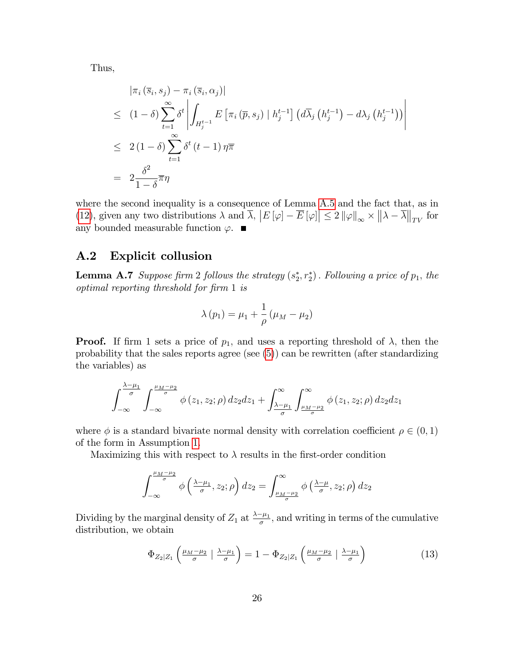Thus,

$$
\begin{aligned}\n& |\pi_i(\overline{s}_i, s_j) - \pi_i(\overline{s}_i, \alpha_j)| \\
&\leq (1 - \delta) \sum_{t=1}^{\infty} \delta^t \left| \int_{H_j^{t-1}} E\left[ \pi_i(\overline{p}, s_j) \mid h_j^{t-1} \right] \left( d\overline{\lambda}_j \left( h_j^{t-1} \right) - d\lambda_j \left( h_j^{t-1} \right) \right) \right| \\
&\leq 2 (1 - \delta) \sum_{t=1}^{\infty} \delta^t \left( t - 1 \right) \eta \overline{\pi} \\
&= 2 \frac{\delta^2}{1 - \delta} \overline{\pi} \eta\n\end{aligned}
$$

where the second inequality is a consequence of Lemma [A.5](#page-23-0) and the fact that, as in [\(12\)](#page-21-1), given any two distributions  $\lambda$  and  $\overline{\lambda}$ ,  $|E[\varphi]-\overline{E}[\varphi]|\leq 2 ||\varphi||_{\infty} \times ||\lambda-\overline{\lambda}||_{TV}$  for any bounded measurable function  $\varphi$ .

### A.2 Explicit collusion

<span id="page-25-0"></span>**Lemma A.7** Suppose firm 2 follows the strategy  $(s_2^*, r_2^*)$ . Following a price of  $p_1$ , the optimal reporting threshold for Örm 1 is

$$
\lambda(p_1) = \mu_1 + \frac{1}{\rho}(\mu_M - \mu_2)
$$

**Proof.** If firm 1 sets a price of  $p_1$ , and uses a reporting threshold of  $\lambda$ , then the probability that the sales reports agree (see [\(5\)](#page-13-1)) can be rewritten (after standardizing the variables) as

$$
\int_{-\infty}^{\frac{\lambda-\mu_1}{\sigma}} \int_{-\infty}^{\frac{\mu_M-\mu_2}{\sigma}} \phi(z_1, z_2; \rho) dz_2 dz_1 + \int_{\frac{\lambda-\mu_1}{\sigma}}^{\infty} \int_{\frac{\mu_M-\mu_2}{\sigma}}^{\infty} \phi(z_1, z_2; \rho) dz_2 dz_1
$$

where  $\phi$  is a standard bivariate normal density with correlation coefficient  $\rho \in (0, 1)$ of the form in Assumption [1.](#page-6-3)

Maximizing this with respect to  $\lambda$  results in the first-order condition

$$
\int_{-\infty}^{\frac{\mu_M-\mu_2}{\sigma}} \phi\left(\tfrac{\lambda-\mu_1}{\sigma},z_2;\rho\right) dz_2 = \int_{\frac{\mu_M-\mu_2}{\sigma}}^{\infty} \phi\left(\tfrac{\lambda-\mu}{\sigma},z_2;\rho\right) dz_2
$$

Dividing by the marginal density of  $Z_1$  at  $\frac{\lambda-\mu_1}{\sigma}$ , and writing in terms of the cumulative distribution, we obtain

<span id="page-25-1"></span>
$$
\Phi_{Z_2|Z_1}\left(\frac{\mu_M-\mu_2}{\sigma} \mid \frac{\lambda-\mu_1}{\sigma}\right) = 1 - \Phi_{Z_2|Z_1}\left(\frac{\mu_M-\mu_2}{\sigma} \mid \frac{\lambda-\mu_1}{\sigma}\right) \tag{13}
$$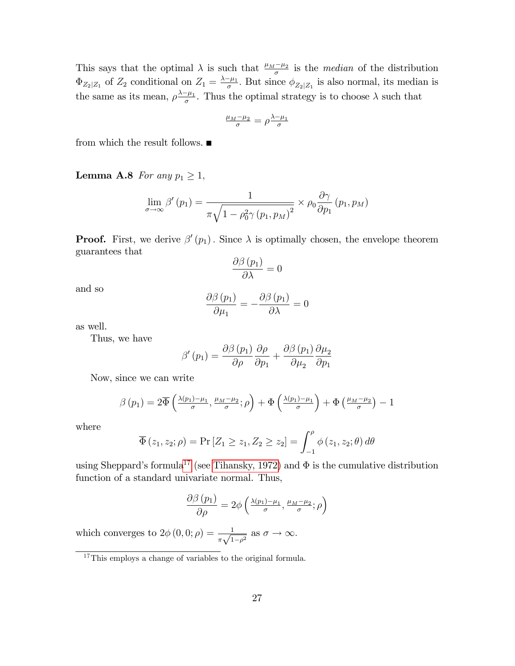This says that the optimal  $\lambda$  is such that  $\frac{\mu_M - \mu_2}{\sigma}$  is the *median* of the distribution  $\Phi_{Z_2|Z_1}$  of  $Z_2$  conditional on  $Z_1 = \frac{\lambda - \mu_1}{\sigma}$ . But since  $\phi_{Z_2|Z_1}$  is also normal, its median is the same as its mean,  $\rho \frac{\lambda - \mu_1}{\sigma}$ . Thus the optimal strategy is to choose  $\lambda$  such that

$$
\tfrac{\mu_M-\mu_2}{\sigma}=\rho\tfrac{\lambda-\mu_1}{\sigma}
$$

from which the result follows.  $\blacksquare$ 

<span id="page-26-0"></span>**Lemma A.8** For any  $p_1 \geq 1$ ,

$$
\lim_{\sigma \to \infty} \beta'(p_1) = \frac{1}{\pi \sqrt{1 - \rho_0^2 \gamma (p_1, p_M)^2}} \times \rho_0 \frac{\partial \gamma}{\partial p_1} (p_1, p_M)
$$

**Proof.** First, we derive  $\beta'(p_1)$ . Since  $\lambda$  is optimally chosen, the envelope theorem guarantees that

$$
\frac{\partial \beta(p_1)}{\partial \lambda} = 0
$$

and so

$$
\frac{\partial \beta (p_1)}{\partial \mu_1} = -\frac{\partial \beta (p_1)}{\partial \lambda} = 0
$$

as well.

Thus, we have

$$
\beta'(p_1) = \frac{\partial \beta(p_1)}{\partial \rho} \frac{\partial \rho}{\partial p_1} + \frac{\partial \beta(p_1)}{\partial \mu_2} \frac{\partial \mu_2}{\partial p_1}
$$

Now, since we can write

$$
\beta(p_1) = 2\overline{\Phi}\left(\frac{\lambda(p_1)-\mu_1}{\sigma}, \frac{\mu_M-\mu_2}{\sigma}; \rho\right) + \Phi\left(\frac{\lambda(p_1)-\mu_1}{\sigma}\right) + \Phi\left(\frac{\mu_M-\mu_2}{\sigma}\right) - 1
$$

where

$$
\overline{\Phi}(z_1, z_2; \rho) = \Pr\left[Z_1 \ge z_1, Z_2 \ge z_2\right] = \int_{-1}^{\rho} \phi(z_1, z_2; \theta) d\theta
$$

using Sheppard's formula<sup>[17](#page-26-1)</sup> (see [Tihansky, 1972\)](#page-29-4) and  $\Phi$  is the cumulative distribution function of a standard univariate normal. Thus,

$$
\frac{\partial \beta(p_1)}{\partial \rho} = 2\phi \left( \frac{\lambda(p_1) - \mu_1}{\sigma}, \frac{\mu_M - \mu_2}{\sigma}; \rho \right)
$$

which converges to  $2\phi(0,0;\rho) = \frac{1}{\pi\sqrt{1-\rho^2}}$  as  $\sigma \to \infty$ .

<span id="page-26-1"></span><sup>17</sup>This employs a change of variables to the original formula.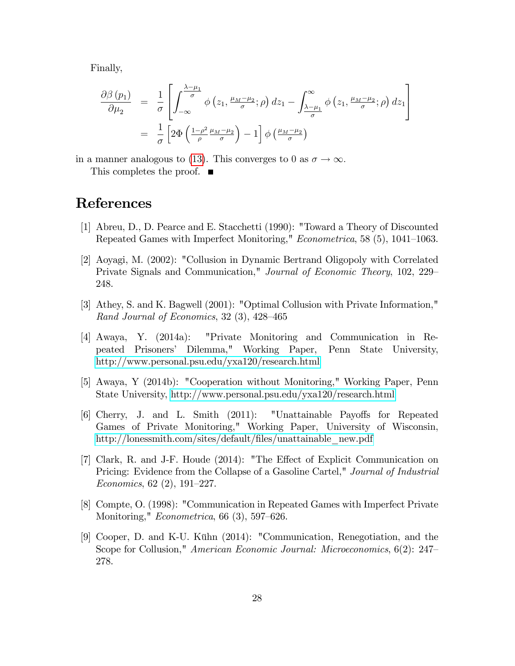Finally,

$$
\frac{\partial \beta(p_1)}{\partial \mu_2} = \frac{1}{\sigma} \left[ \int_{-\infty}^{\frac{\lambda - \mu_1}{\sigma}} \phi(z_1, \frac{\mu_M - \mu_2}{\sigma}; \rho) dz_1 - \int_{\frac{\lambda - \mu_1}{\sigma}}^{\infty} \phi(z_1, \frac{\mu_M - \mu_2}{\sigma}; \rho) dz_1 \right]
$$

$$
= \frac{1}{\sigma} \left[ 2 \Phi \left( \frac{1 - \rho^2}{\rho} \frac{\mu_M - \mu_2}{\sigma} \right) - 1 \right] \phi \left( \frac{\mu_M - \mu_2}{\sigma} \right)
$$

in a manner analogous to [\(13\)](#page-25-1). This converges to 0 as  $\sigma \to \infty$ . This completes the proof.  $\blacksquare$ 

### References

- <span id="page-27-7"></span>[1] Abreu, D., D. Pearce and E. Stacchetti (1990): "Toward a Theory of Discounted Repeated Games with Imperfect Monitoring," Econometrica, 58 (5), 1041-1063.
- <span id="page-27-5"></span>[2] Aoyagi, M. (2002): "Collusion in Dynamic Bertrand Oligopoly with Correlated Private Signals and Communication," Journal of Economic Theory, 102, 229 248.
- <span id="page-27-1"></span>[3] Athey, S. and K. Bagwell (2001): "Optimal Collusion with Private Information," Rand Journal of Economics,  $32$  (3),  $428-465$
- <span id="page-27-3"></span>[4] Awaya, Y. (2014a): "Private Monitoring and Communication in Repeated Prisonersí Dilemma," Working Paper, Penn State University, <http://www.personal.psu.edu/yxa120/research.html>
- <span id="page-27-8"></span>[5] Awaya, Y (2014b): "Cooperation without Monitoring," Working Paper, Penn State University,<http://www.personal.psu.edu/yxa120/research.html>
- <span id="page-27-4"></span>[6] Cherry, J. and L. Smith (2011): "Unattainable Payoffs for Repeated Games of Private Monitoring," Working Paper, University of Wisconsin, http://lonessmith.com/sites/default/files/unattainable\_new.pdf
- <span id="page-27-0"></span>[7] Clark, R. and J-F. Houde  $(2014)$ : "The Effect of Explicit Communication on Pricing: Evidence from the Collapse of a Gasoline Cartel," Journal of Industrial Economics, 62 $(2)$ , 191–227.
- <span id="page-27-2"></span>[8] Compte, O. (1998): "Communication in Repeated Games with Imperfect Private Monitoring,"  $Econometrica$ , 66 (3), 597–626.
- <span id="page-27-6"></span>[9] Cooper, D. and K-U. Kühn  $(2014)$ : "Communication, Renegotiation, and the Scope for Collusion," American Economic Journal: Microeconomics, 6(2): 247 278.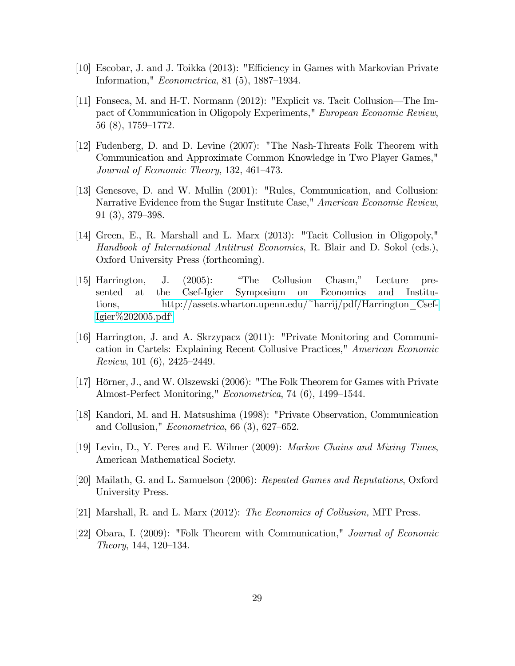- <span id="page-28-3"></span>[10] Escobar, J. and J. Toikka (2013): "Efficiency in Games with Markovian Private Information,"  $Econometrica$ , 81 (5), 1887–1934.
- <span id="page-28-9"></span>[11] Fonseca, M. and H-T. Normann  $(2012)$ : "Explicit vs. Tacit Collusion—The Impact of Communication in Oligopoly Experiments," European Economic Review,  $56(8), 1759-1772.$
- <span id="page-28-6"></span>[12] Fudenberg, D. and D. Levine (2007): "The Nash-Threats Folk Theorem with Communication and Approximate Common Knowledge in Two Player Games," Journal of Economic Theory,  $132, 461-473$ .
- <span id="page-28-2"></span>[13] Genesove, D. and W. Mullin (2001): "Rules, Communication, and Collusion: Narrative Evidence from the Sugar Institute Case," American Economic Review,  $91(3), 379-398.$
- <span id="page-28-4"></span>[14] Green, E., R. Marshall and L. Marx (2013): "Tacit Collusion in Oligopoly," Handbook of International Antitrust Economics, R. Blair and D. Sokol (eds.), Oxford University Press (forthcoming).
- <span id="page-28-1"></span>[15] Harrington, J. (2005): "The Collusion Chasm," Lecture presented at the Csef-Igier Symposium on Economics and Institutions, [http://assets.wharton.upenn.edu/~harrij/pdf/Harrington\\_Csef-](http://assets.wharton.upenn.edu/~harrij/pdf/Harrington_Csef-Igier%202005.pdf`)Igier $\%202005$ .pdf<sup>\*</sup>
- <span id="page-28-8"></span>[16] Harrington, J. and A. Skrzypacz (2011): "Private Monitoring and Communication in Cartels: Explaining Recent Collusive Practices," American Economic Review, 101  $(6)$ , 2425–2449.
- [17] Hörner, J., and W. Olszewski (2006): "The Folk Theorem for Games with Private Almost-Perfect Monitoring," Econometrica, 74 (6), 1499–1544.
- <span id="page-28-5"></span>[18] Kandori, M. and H. Matsushima (1998): "Private Observation, Communication and Collusion," *Econometrica*, 66  $(3)$ , 627–652.
- <span id="page-28-11"></span>[19] Levin, D., Y. Peres and E. Wilmer (2009): Markov Chains and Mixing Times, American Mathematical Society.
- <span id="page-28-10"></span>[20] Mailath, G. and L. Samuelson (2006): Repeated Games and Reputations, Oxford University Press.
- <span id="page-28-0"></span>[21] Marshall, R. and L. Marx (2012): The Economics of Collusion, MIT Press.
- <span id="page-28-7"></span>[22] Obara, I. (2009): "Folk Theorem with Communication," Journal of Economic  $Theory, 144, 120–134.$